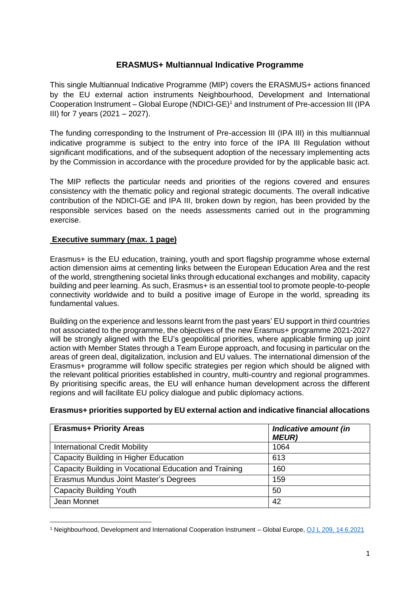# **ERASMUS+ Multiannual Indicative Programme**

This single Multiannual Indicative Programme (MIP) covers the ERASMUS+ actions financed by the EU external action instruments Neighbourhood, Development and International Cooperation Instrument – Global Europe (NDICI-GE)<sup>1</sup> and Instrument of Pre-accession III (IPA III) for 7 years (2021 – 2027).

The funding corresponding to the Instrument of Pre-accession III (IPA III) in this multiannual indicative programme is subject to the entry into force of the IPA III Regulation without significant modifications, and of the subsequent adoption of the necessary implementing acts by the Commission in accordance with the procedure provided for by the applicable basic act.

The MIP reflects the particular needs and priorities of the regions covered and ensures consistency with the thematic policy and regional strategic documents. The overall indicative contribution of the NDICI-GE and IPA III, broken down by region, has been provided by the responsible services based on the needs assessments carried out in the programming exercise.

# **Executive summary (max. 1 page)**

**.** 

Erasmus+ is the EU education, training, youth and sport flagship programme whose external action dimension aims at cementing links between the European Education Area and the rest of the world, strengthening societal links through educational exchanges and mobility, capacity building and peer learning. As such, Erasmus+ is an essential tool to promote people-to-people connectivity worldwide and to build a positive image of Europe in the world, spreading its fundamental values.

Building on the experience and lessons learnt from the past years' EU support in third countries not associated to the programme, the objectives of the new Erasmus+ programme 2021-2027 will be strongly aligned with the EU's geopolitical priorities, where applicable firming up joint action with Member States through a Team Europe approach, and focusing in particular on the areas of green deal, digitalization, inclusion and EU values. The international dimension of the Erasmus+ programme will follow specific strategies per region which should be aligned with the relevant political priorities established in country, multi-country and regional programmes. By prioritising specific areas, the EU will enhance human development across the different regions and will facilitate EU policy dialogue and public diplomacy actions.

| <b>Erasmus+ Priority Areas</b>                         | Indicative amount (in<br><b>MEUR)</b> |
|--------------------------------------------------------|---------------------------------------|
| <b>International Credit Mobility</b>                   | 1064                                  |
| Capacity Building in Higher Education                  | 613                                   |
| Capacity Building in Vocational Education and Training | 160                                   |
| Erasmus Mundus Joint Master's Degrees                  | 159                                   |
| <b>Capacity Building Youth</b>                         | 50                                    |
| Jean Monnet                                            | 42                                    |

#### **Erasmus+ priorities supported by EU external action and indicative financial allocations**

<sup>1</sup> Neighbourhood, Development and International Cooperation Instrument – Global Europe, [OJ L 209, 14.6.2021](http://data.europa.eu/eli/reg/2021/947/oj)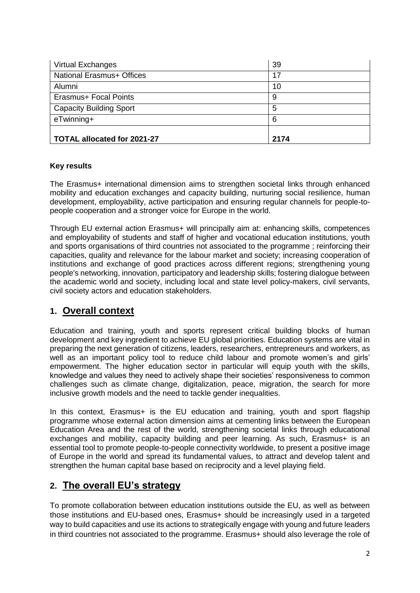| <b>Virtual Exchanges</b>         | 39   |
|----------------------------------|------|
| <b>National Erasmus+ Offices</b> | 17   |
| Alumni                           | 10   |
| Erasmus+ Focal Points            | 9    |
| <b>Capacity Building Sport</b>   | 5    |
| eTwinning+                       | 6    |
|                                  |      |
| TOTAL allocated for 2021-27      | 2174 |

# **Key results**

The Erasmus+ international dimension aims to strengthen societal links through enhanced mobility and education exchanges and capacity building, nurturing social resilience, human development, employability, active participation and ensuring regular channels for people-topeople cooperation and a stronger voice for Europe in the world.

Through EU external action Erasmus+ will principally aim at: enhancing skills, competences and employability of students and staff of higher and vocational education institutions, youth and sports organisations of third countries not associated to the programme ; reinforcing their capacities, quality and relevance for the labour market and society; increasing cooperation of institutions and exchange of good practices across different regions; strengthening young people's networking, innovation, participatory and leadership skills; fostering dialogue between the academic world and society, including local and state level policy-makers, civil servants, civil society actors and education stakeholders.

# **1. Overall context**

Education and training, youth and sports represent critical building blocks of human development and key ingredient to achieve EU global priorities. Education systems are vital in preparing the next generation of citizens, leaders, researchers, entrepreneurs and workers, as well as an important policy tool to reduce child labour and promote women's and girls' empowerment. The higher education sector in particular will equip youth with the skills, knowledge and values they need to actively shape their societies' responsiveness to common challenges such as climate change, digitalization, peace, migration, the search for more inclusive growth models and the need to tackle gender inequalities.

In this context, Erasmus+ is the EU education and training, youth and sport flagship programme whose external action dimension aims at cementing links between the European Education Area and the rest of the world, strengthening societal links through educational exchanges and mobility, capacity building and peer learning. As such, Erasmus+ is an essential tool to promote people-to-people connectivity worldwide, to present a positive image of Europe in the world and spread its fundamental values, to attract and develop talent and strengthen the human capital base based on reciprocity and a level playing field.

# **2. The overall EU's strategy**

To promote collaboration between education institutions outside the EU, as well as between those institutions and EU-based ones, Erasmus+ should be increasingly used in a targeted way to build capacities and use its actions to strategically engage with young and future leaders in third countries not associated to the programme. Erasmus+ should also leverage the role of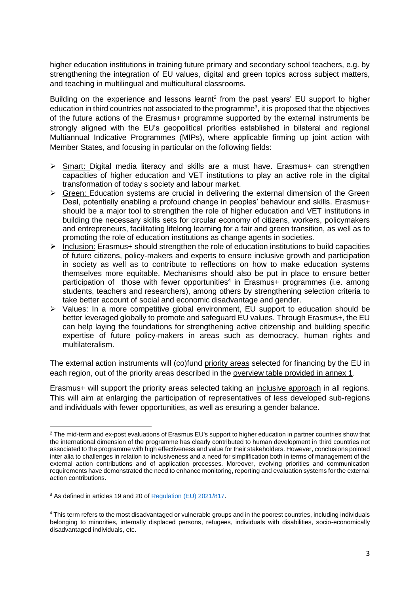higher education institutions in training future primary and secondary school teachers, e.g. by strengthening the integration of EU values, digital and green topics across subject matters, and teaching in multilingual and multicultural classrooms.

Building on the experience and lessons learnt<sup>2</sup> from the past years' EU support to higher education in third countries not associated to the programme<sup>3</sup>, it is proposed that the objectives of the future actions of the Erasmus+ programme supported by the external instruments be strongly aligned with the EU's geopolitical priorities established in bilateral and regional Multiannual Indicative Programmes (MIPs), where applicable firming up joint action with Member States, and focusing in particular on the following fields:

- Smart: Digital media literacy and skills are a must have. Erasmus+ can strengthen capacities of higher education and VET institutions to play an active role in the digital transformation of today s society and labour market.
- $\triangleright$  Green: Education systems are crucial in delivering the external dimension of the Green Deal, potentially enabling a profound change in peoples' behaviour and skills. Erasmus+ should be a major tool to strengthen the role of higher education and VET institutions in building the necessary skills sets for circular economy of citizens, workers, policymakers and entrepreneurs, facilitating lifelong learning for a fair and green transition, as well as to promoting the role of education institutions as change agents in societies.
- $\triangleright$  Inclusion: Erasmus+ should strengthen the role of education institutions to build capacities of future citizens, policy-makers and experts to ensure inclusive growth and participation in society as well as to contribute to reflections on how to make education systems themselves more equitable. Mechanisms should also be put in place to ensure better participation of those with fewer opportunities<sup>4</sup> in Erasmus+ programmes (i.e. among students, teachers and researchers), among others by strengthening selection criteria to take better account of social and economic disadvantage and gender.
- $\triangleright$  Values: In a more competitive global environment, EU support to education should be better leveraged globally to promote and safeguard EU values. Through Erasmus+, the EU can help laying the foundations for strengthening active citizenship and building specific expertise of future policy-makers in areas such as democracy, human rights and multilateralism.

The external action instruments will (co)fund priority areas selected for financing by the EU in each region, out of the priority areas described in the overview table provided in annex 1.

Erasmus+ will support the priority areas selected taking an inclusive approach in all regions. This will aim at enlarging the participation of representatives of less developed sub-regions and individuals with fewer opportunities, as well as ensuring a gender balance.

**.** 

<sup>&</sup>lt;sup>2</sup> The mid-term and ex-post evaluations of Erasmus EU's support to higher education in partner countries show that the international dimension of the programme has clearly contributed to human development in third countries not associated to the programme with high effectiveness and value for their stakeholders. However, conclusions pointed inter alia to challenges in relation to inclusiveness and a need for simplification both in terms of management of the external action contributions and of application processes. Moreover, evolving priorities and communication requirements have demonstrated the need to enhance monitoring, reporting and evaluation systems for the external action contributions.

<sup>&</sup>lt;sup>3</sup> As defined in articles 19 and 20 o[f Regulation \(EU\) 2021/817.](https://eur-lex.europa.eu/legal-content/EN/TXT/PDF/?uri=CELEX:32021R0817&qid=1624633143853&from=EN)

<sup>&</sup>lt;sup>4</sup> This term refers to the most disadvantaged or vulnerable groups and in the poorest countries, including individuals belonging to minorities, internally displaced persons, refugees, individuals with disabilities, socio-economically disadvantaged individuals, etc.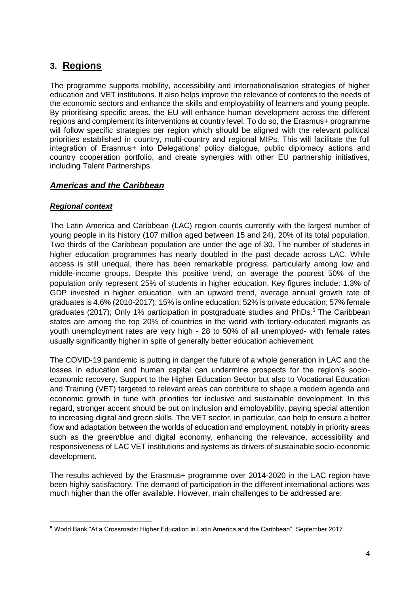# **3. Regions**

The programme supports mobility, accessibility and internationalisation strategies of higher education and VET institutions. It also helps improve the relevance of contents to the needs of the economic sectors and enhance the skills and employability of learners and young people. By prioritising specific areas, the EU will enhance human development across the different regions and complement its interventions at country level. To do so, the Erasmus+ programme will follow specific strategies per region which should be aligned with the relevant political priorities established in country, multi-country and regional MIPs. This will facilitate the full integration of Erasmus+ into Delegations' policy dialogue, public diplomacy actions and country cooperation portfolio, and create synergies with other EU partnership initiatives, including Talent Partnerships.

# *Americas and the Caribbean*

# *Regional context*

1

The Latin America and Caribbean (LAC) region counts currently with the largest number of young people in its history (107 million aged between 15 and 24), 20% of its total population. Two thirds of the Caribbean population are under the age of 30. The number of students in higher education programmes has nearly doubled in the past decade across LAC. While access is still unequal, there has been remarkable progress, particularly among low and middle-income groups. Despite this positive trend, on average the poorest 50% of the population only represent 25% of students in higher education. Key figures include: 1.3% of GDP invested in higher education, with an upward trend, average annual growth rate of graduates is 4.6% (2010-2017); 15% is online education; 52% is private education; 57% female graduates (2017); Only 1% participation in postgraduate studies and PhDs.<sup>5</sup> The Caribbean states are among the top 20% of countries in the world with tertiary-educated migrants as youth unemployment rates are very high - 28 to 50% of all unemployed- with female rates usually significantly higher in spite of generally better education achievement.

The COVID-19 pandemic is putting in danger the future of a whole generation in LAC and the losses in education and human capital can undermine prospects for the region's socioeconomic recovery. Support to the Higher Education Sector but also to Vocational Education and Training (VET) targeted to relevant areas can contribute to shape a modern agenda and economic growth in tune with priorities for inclusive and sustainable development. In this regard, stronger accent should be put on inclusion and employability, paying special attention to increasing digital and green skills. The VET sector, in particular, can help to ensure a better flow and adaptation between the worlds of education and employment, notably in priority areas such as the green/blue and digital economy, enhancing the relevance, accessibility and responsiveness of LAC VET institutions and systems as drivers of sustainable socio-economic development.

The results achieved by the Erasmus+ programme over 2014-2020 in the LAC region have been highly satisfactory. The demand of participation in the different international actions was much higher than the offer available. However, main challenges to be addressed are:

<sup>5</sup> World Bank "At a Crossroads: Higher Education in Latin America and the Caribbean". September 2017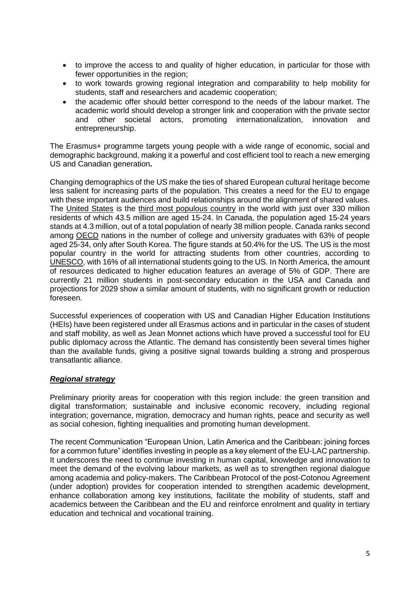- to improve the access to and quality of higher education, in particular for those with fewer opportunities in the region;
- to work towards growing regional integration and comparability to help mobility for students, staff and researchers and academic cooperation;
- the academic offer should better correspond to the needs of the labour market. The academic world should develop a stronger link and cooperation with the private sector and other societal actors, promoting internationalization, innovation and entrepreneurship.

The Erasmus+ programme targets young people with a wide range of economic, social and demographic background, making it a powerful and cost efficient tool to reach a new emerging US and Canadian generation**.**

Changing demographics of the US make the ties of shared European cultural heritage become less salient for increasing parts of the population. This creates a need for the EU to engage with these important audiences and build relationships around the alignment of shared values. The [United States](https://en.wikipedia.org/wiki/United_States) is the [third most populous country](https://en.wikipedia.org/wiki/List_of_countries_and_dependencies_by_population) in the world with just over 330 million residents of which 43.5 million are aged 15-24. In Canada, the population aged 15-24 years stands at 4.3 million, out of a total population of nearly 38 million people. Canada ranks second among [OECD](https://en.wikipedia.org/wiki/OECD) nations in the number of college and university graduates with 63% of people aged 25-34, only after South Korea. The figure stands at 50.4% for the US. The US is the most popular country in the world for attracting students from other countries, according to [UNESCO,](https://en.wikipedia.org/wiki/UNESCO) with 16% of all international students going to the US. In North America, the amount of resources dedicated to higher education features an average of 5% of GDP. There are currently 21 million students in post-secondary education in the USA and Canada and projections for 2029 show a similar amount of students, with no significant growth or reduction foreseen.

Successful experiences of cooperation with US and Canadian Higher Education Institutions (HEIs) have been registered under all Erasmus actions and in particular in the cases of student and staff mobility, as well as Jean Monnet actions which have proved a successful tool for EU public diplomacy across the Atlantic. The demand has consistently been several times higher than the available funds, giving a positive signal towards building a strong and prosperous transatlantic alliance.

#### *Regional strategy*

Preliminary priority areas for cooperation with this region include: the green transition and digital transformation; sustainable and inclusive economic recovery, including regional integration; governance, migration, democracy and human rights, peace and security as well as social cohesion, fighting inequalities and promoting human development.

The recent Communication "European Union, Latin America and the Caribbean: joining forces for a common future" identifies investing in people as a key element of the EU-LAC partnership. It underscores the need to continue investing in human capital, knowledge and innovation to meet the demand of the evolving labour markets, as well as to strengthen regional dialogue among academia and policy-makers. The Caribbean Protocol of the post-Cotonou Agreement (under adoption) provides for cooperation intended to strengthen academic development, enhance collaboration among key institutions, facilitate the mobility of students, staff and academics between the Caribbean and the EU and reinforce enrolment and quality in tertiary education and technical and vocational training.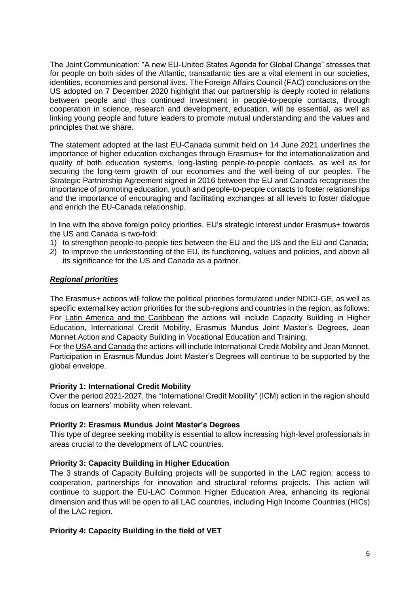The Joint Communication: "A new EU-United States Agenda for Global Change" stresses that for people on both sides of the Atlantic, transatlantic ties are a vital element in our societies, identities, economies and personal lives. The Foreign Affairs Council (FAC) conclusions on the US adopted on 7 December 2020 highlight that our partnership is deeply rooted in relations between people and thus continued investment in people-to-people contacts, through cooperation in science, research and development, education, will be essential, as well as linking young people and future leaders to promote mutual understanding and the values and principles that we share.

The statement adopted at the last EU-Canada summit held on 14 June 2021 underlines the importance of higher education exchanges through Erasmus+ for the internationalization and quality of both education systems, long-lasting people-to-people contacts, as well as for securing the long-term growth of our economies and the well-being of our peoples. The Strategic Partnership Agreement signed in 2016 between the EU and Canada recognises the importance of promoting education, youth and people-to-people contacts to foster relationships and the importance of encouraging and facilitating exchanges at all levels to foster dialogue and enrich the EU-Canada relationship.

In line with the above foreign policy priorities, EU's strategic interest under Erasmus+ towards the US and Canada is two-fold:

- 1) to strengthen people-to-people ties between the EU and the US and the EU and Canada;
- 2) to improve the understanding of the EU, its functioning, values and policies, and above all its significance for the US and Canada as a partner.

#### *Regional priorities*

The Erasmus+ actions will follow the political priorities formulated under NDICI-GE, as well as specific external key action priorities for the sub-regions and countries in the region, as follows: For Latin America and the Caribbean the actions will include Capacity Building in Higher Education, International Credit Mobility, Erasmus Mundus Joint Master's Degrees, Jean Monnet Action and Capacity Building in Vocational Education and Training.

For the USA and Canada the actions will include International Credit Mobility and Jean Monnet. Participation in Erasmus Mundus Joint Master's Degrees will continue to be supported by the global envelope.

#### **Priority 1: International Credit Mobility**

Over the period 2021-2027, the "International Credit Mobility" (ICM) action in the region should focus on learners' mobility when relevant.

#### **Priority 2: Erasmus Mundus Joint Master's Degrees**

This type of degree seeking mobility is essential to allow increasing high-level professionals in areas crucial to the development of LAC countries.

#### **Priority 3: Capacity Building in Higher Education**

The 3 strands of Capacity Building projects will be supported in the LAC region: access to cooperation, partnerships for innovation and structural reforms projects. This action will continue to support the EU-LAC Common Higher Education Area, enhancing its regional dimension and thus will be open to all LAC countries, including High Income Countries (HICs) of the LAC region.

#### **Priority 4: Capacity Building in the field of VET**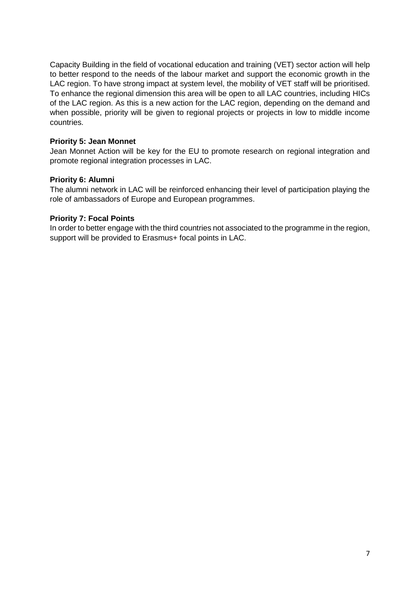Capacity Building in the field of vocational education and training (VET) sector action will help to better respond to the needs of the labour market and support the economic growth in the LAC region. To have strong impact at system level, the mobility of VET staff will be prioritised. To enhance the regional dimension this area will be open to all LAC countries, including HICs of the LAC region. As this is a new action for the LAC region, depending on the demand and when possible, priority will be given to regional projects or projects in low to middle income countries.

# **Priority 5: Jean Monnet**

Jean Monnet Action will be key for the EU to promote research on regional integration and promote regional integration processes in LAC.

# **Priority 6: Alumni**

The alumni network in LAC will be reinforced enhancing their level of participation playing the role of ambassadors of Europe and European programmes.

# **Priority 7: Focal Points**

In order to better engage with the third countries not associated to the programme in the region, support will be provided to Erasmus+ focal points in LAC.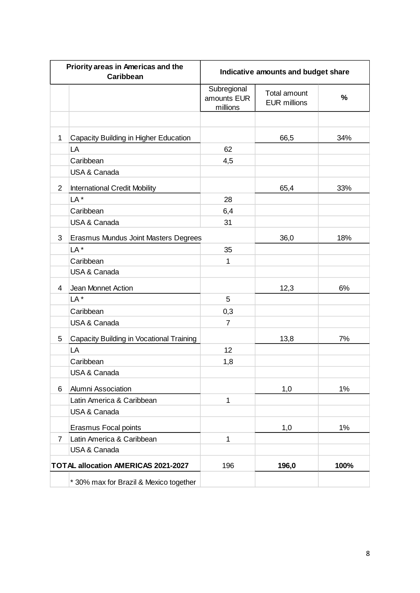| Priority areas in Americas and the<br>Caribbean |                                          | Indicative amounts and budget share    |                                            |       |
|-------------------------------------------------|------------------------------------------|----------------------------------------|--------------------------------------------|-------|
|                                                 |                                          | Subregional<br>amounts EUR<br>millions | <b>Total amount</b><br><b>EUR millions</b> | $\%$  |
|                                                 |                                          |                                        |                                            |       |
| 1                                               | Capacity Building in Higher Education    |                                        | 66,5                                       | 34%   |
|                                                 | LA                                       | 62                                     |                                            |       |
|                                                 | Caribbean                                | 4,5                                    |                                            |       |
|                                                 | USA & Canada                             |                                        |                                            |       |
| $\overline{2}$                                  | <b>International Credit Mobility</b>     |                                        | 65,4                                       | 33%   |
|                                                 | LA <sup>*</sup>                          | 28                                     |                                            |       |
|                                                 | Caribbean                                | 6,4                                    |                                            |       |
|                                                 | <b>USA &amp; Canada</b>                  | 31                                     |                                            |       |
| 3                                               | Erasmus Mundus Joint Masters Degrees     |                                        | 36,0                                       | 18%   |
|                                                 | LA <sup>*</sup>                          | 35                                     |                                            |       |
|                                                 | Caribbean                                | 1                                      |                                            |       |
|                                                 | <b>USA &amp; Canada</b>                  |                                        |                                            |       |
| 4                                               | Jean Monnet Action                       |                                        | 12,3                                       | 6%    |
|                                                 | LA <sup>*</sup>                          | 5                                      |                                            |       |
|                                                 | Caribbean                                | 0,3                                    |                                            |       |
|                                                 | USA & Canada                             | $\overline{7}$                         |                                            |       |
| 5                                               | Capacity Building in Vocational Training |                                        | 13,8                                       | 7%    |
|                                                 | LA                                       | 12                                     |                                            |       |
|                                                 | Caribbean                                | 1,8                                    |                                            |       |
|                                                 | USA & Canada                             |                                        |                                            |       |
| 6                                               | Alumni Association                       |                                        | 1,0                                        | 1%    |
|                                                 | Latin America & Caribbean                | 1                                      |                                            |       |
|                                                 | <b>USA &amp; Canada</b>                  |                                        |                                            |       |
|                                                 | Erasmus Focal points                     |                                        | 1,0                                        | $1\%$ |
| $\overline{7}$                                  | Latin America & Caribbean                | 1                                      |                                            |       |
|                                                 | USA & Canada                             |                                        |                                            |       |
|                                                 | TOTAL allocation AMERICAS 2021-2027      | 196                                    | 196,0                                      | 100%  |
|                                                 | * 30% max for Brazil & Mexico together   |                                        |                                            |       |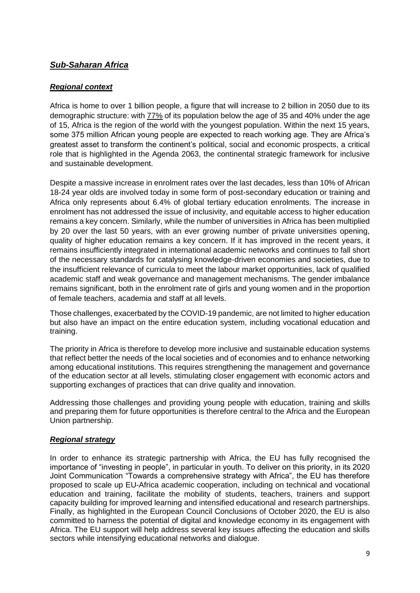# *Sub-Saharan Africa*

# *Regional context*

Africa is home to over 1 billion people, a figure that will increase to 2 billion in 2050 due to its demographic structure: with [77%](https://www.dw.com/en/top-stories/the-77-percent/s-41461495) of its population below the age of 35 and 40% under the age of 15, Africa is the region of the world with the youngest population. Within the next 15 years, some 375 million African young people are expected to reach working age. They are Africa's greatest asset to transform the continent's political, social and economic prospects, a critical role that is highlighted in the Agenda 2063, the continental strategic framework for inclusive and sustainable development.

Despite a massive increase in enrolment rates over the last decades, less than 10% of African 18-24 year olds are involved today in some form of post-secondary education or training and Africa only represents about 6.4% of global tertiary education enrolments. The increase in enrolment has not addressed the issue of inclusivity, and equitable access to higher education remains a key concern. Similarly, while the number of universities in Africa has been multiplied by 20 over the last 50 years, with an ever growing number of private universities opening, quality of higher education remains a key concern. If it has improved in the recent years, it remains insufficiently integrated in international academic networks and continues to fall short of the necessary standards for catalysing knowledge-driven economies and societies, due to the insufficient relevance of curricula to meet the labour market opportunities, lack of qualified academic staff and weak governance and management mechanisms. The gender imbalance remains significant, both in the enrolment rate of girls and young women and in the proportion of female teachers, academia and staff at all levels.

Those challenges, exacerbated by the COVID-19 pandemic, are not limited to higher education but also have an impact on the entire education system, including vocational education and training.

The priority in Africa is therefore to develop more inclusive and sustainable education systems that reflect better the needs of the local societies and of economies and to enhance networking among educational institutions. This requires strengthening the management and governance of the education sector at all levels, stimulating closer engagement with economic actors and supporting exchanges of practices that can drive quality and innovation.

Addressing those challenges and providing young people with education, training and skills and preparing them for future opportunities is therefore central to the Africa and the European Union partnership.

#### *Regional strategy*

In order to enhance its strategic partnership with Africa, the EU has fully recognised the importance of "investing in people", in particular in youth. To deliver on this priority, in its 2020 Joint Communication "Towards a comprehensive strategy with Africa", the EU has therefore proposed to scale up EU-Africa academic cooperation, including on technical and vocational education and training, facilitate the mobility of students, teachers, trainers and support capacity building for improved learning and intensified educational and research partnerships. Finally, as highlighted in the European Council Conclusions of October 2020, the EU is also committed to harness the potential of digital and knowledge economy in its engagement with Africa. The EU support will help address several key issues affecting the education and skills sectors while intensifying educational networks and dialogue.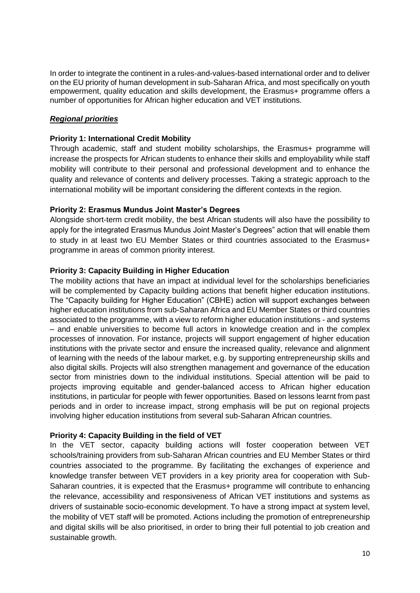In order to integrate the continent in a rules-and-values-based international order and to deliver on the EU priority of human development in sub-Saharan Africa, and most specifically on youth empowerment, quality education and skills development, the Erasmus+ programme offers a number of opportunities for African higher education and VET institutions.

# *Regional priorities*

#### **Priority 1: International Credit Mobility**

Through academic, staff and student mobility scholarships, the Erasmus+ programme will increase the prospects for African students to enhance their skills and employability while staff mobility will contribute to their personal and professional development and to enhance the quality and relevance of contents and delivery processes. Taking a strategic approach to the international mobility will be important considering the different contexts in the region.

# **Priority 2: Erasmus Mundus Joint Master's Degrees**

Alongside short-term credit mobility, the best African students will also have the possibility to apply for the integrated Erasmus Mundus Joint Master's Degrees" action that will enable them to study in at least two EU Member States or third countries associated to the Erasmus+ programme in areas of common priority interest.

# **Priority 3: Capacity Building in Higher Education**

The mobility actions that have an impact at individual level for the scholarships beneficiaries will be complemented by Capacity building actions that benefit higher education institutions. The "Capacity building for Higher Education" (CBHE) action will support exchanges between higher education institutions from sub-Saharan Africa and EU Member States or third countries associated to the programme, with a view to reform higher education institutions - and systems – and enable universities to become full actors in knowledge creation and in the complex processes of innovation. For instance, projects will support engagement of higher education institutions with the private sector and ensure the increased quality, relevance and alignment of learning with the needs of the labour market, e.g. by supporting entrepreneurship skills and also digital skills. Projects will also strengthen management and governance of the education sector from ministries down to the individual institutions. Special attention will be paid to projects improving equitable and gender-balanced access to African higher education institutions, in particular for people with fewer opportunities. Based on lessons learnt from past periods and in order to increase impact, strong emphasis will be put on regional projects involving higher education institutions from several sub-Saharan African countries.

#### **Priority 4: Capacity Building in the field of VET**

In the VET sector, capacity building actions will foster cooperation between VET schools/training providers from sub-Saharan African countries and EU Member States or third countries associated to the programme. By facilitating the exchanges of experience and knowledge transfer between VET providers in a key priority area for cooperation with Sub-Saharan countries, it is expected that the Erasmus+ programme will contribute to enhancing the relevance, accessibility and responsiveness of African VET institutions and systems as drivers of sustainable socio-economic development. To have a strong impact at system level, the mobility of VET staff will be promoted. Actions including the promotion of entrepreneurship and digital skills will be also prioritised, in order to bring their full potential to job creation and sustainable growth.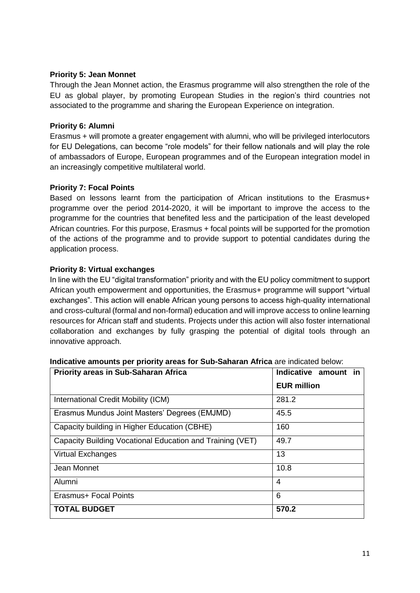# **Priority 5: Jean Monnet**

Through the Jean Monnet action, the Erasmus programme will also strengthen the role of the EU as global player, by promoting European Studies in the region's third countries not associated to the programme and sharing the European Experience on integration.

# **Priority 6: Alumni**

Erasmus + will promote a greater engagement with alumni, who will be privileged interlocutors for EU Delegations, can become "role models" for their fellow nationals and will play the role of ambassadors of Europe, European programmes and of the European integration model in an increasingly competitive multilateral world.

# **Priority 7: Focal Points**

Based on lessons learnt from the participation of African institutions to the Erasmus+ programme over the period 2014-2020, it will be important to improve the access to the programme for the countries that benefited less and the participation of the least developed African countries. For this purpose, Erasmus + focal points will be supported for the promotion of the actions of the programme and to provide support to potential candidates during the application process.

# **Priority 8: Virtual exchanges**

In line with the EU "digital transformation" priority and with the EU policy commitment to support African youth empowerment and opportunities, the Erasmus+ programme will support "virtual exchanges". This action will enable African young persons to access high-quality international and cross-cultural (formal and non-formal) education and will improve access to online learning resources for African staff and students. Projects under this action will also foster international collaboration and exchanges by fully grasping the potential of digital tools through an innovative approach.

| <b>Priority areas in Sub-Saharan Africa</b>               | Indicative amount<br>in. |
|-----------------------------------------------------------|--------------------------|
|                                                           | <b>EUR million</b>       |
| International Credit Mobility (ICM)                       | 281.2                    |
| Erasmus Mundus Joint Masters' Degrees (EMJMD)             | 45.5                     |
| Capacity building in Higher Education (CBHE)              | 160                      |
| Capacity Building Vocational Education and Training (VET) | 49.7                     |
| Virtual Exchanges                                         | 13                       |
| Jean Monnet                                               | 10.8                     |
| Alumni                                                    | 4                        |
| Erasmus+ Focal Points                                     | 6                        |
| <b>TOTAL BUDGET</b>                                       | 570.2                    |

#### **Indicative amounts per priority areas for Sub-Saharan Africa** are indicated below: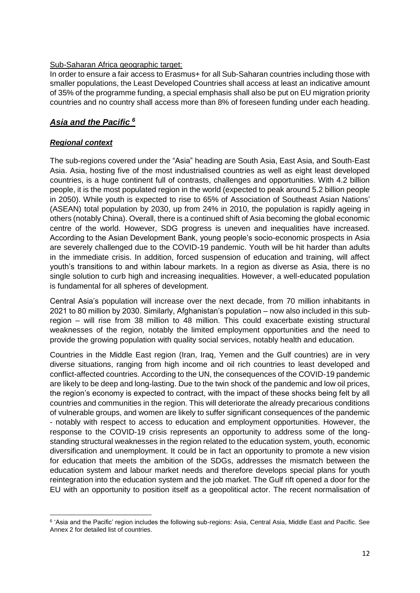# Sub-Saharan Africa geographic target:

In order to ensure a fair access to Erasmus+ for all Sub-Saharan countries including those with smaller populations, the Least Developed Countries shall access at least an indicative amount of 35% of the programme funding, a special emphasis shall also be put on EU migration priority countries and no country shall access more than 8% of foreseen funding under each heading.

# *Asia and the Pacific <sup>6</sup>*

# *Regional context*

The sub-regions covered under the "Asia" heading are South Asia, East Asia, and South-East Asia. Asia, hosting five of the most industrialised countries as well as eight least developed countries, is a huge continent full of contrasts, challenges and opportunities. With 4.2 billion people, it is the most populated region in the world (expected to peak around 5.2 billion people in 2050). While youth is expected to rise to 65% of Association of Southeast Asian Nations' (ASEAN) total population by 2030, up from 24% in 2010, the population is rapidly ageing in others (notably China). Overall, there is a continued shift of Asia becoming the global economic centre of the world. However, SDG progress is uneven and inequalities have increased. According to the Asian Development Bank, young people's socio-economic prospects in Asia are severely challenged due to the COVID-19 pandemic. Youth will be hit harder than adults in the immediate crisis. In addition, forced suspension of education and training, will affect youth's transitions to and within labour markets. In a region as diverse as Asia, there is no single solution to curb high and increasing inequalities. However, a well-educated population is fundamental for all spheres of development.

Central Asia's population will increase over the next decade, from 70 million inhabitants in 2021 to 80 million by 2030. Similarly, Afghanistan's population – now also included in this subregion – will rise from 38 million to 48 million. This could exacerbate existing structural weaknesses of the region, notably the limited employment opportunities and the need to provide the growing population with quality social services, notably health and education.

Countries in the Middle East region (Iran, Iraq, Yemen and the Gulf countries) are in very diverse situations, ranging from high income and oil rich countries to least developed and conflict-affected countries. According to the UN, the consequences of the COVID-19 pandemic are likely to be deep and long-lasting. Due to the twin shock of the pandemic and low oil prices, the region's economy is expected to contract, with the impact of these shocks being felt by all countries and communities in the region. This will deteriorate the already precarious conditions of vulnerable groups, and women are likely to suffer significant consequences of the pandemic - notably with respect to access to education and employment opportunities. However, the response to the COVID-19 crisis represents an opportunity to address some of the longstanding structural weaknesses in the region related to the education system, youth, economic diversification and unemployment. It could be in fact an opportunity to promote a new vision for education that meets the ambition of the SDGs, addresses the mismatch between the education system and labour market needs and therefore develops special plans for youth reintegration into the education system and the job market. The Gulf rift opened a door for the EU with an opportunity to position itself as a geopolitical actor. The recent normalisation of

**<sup>.</sup>** <sup>6</sup> 'Asia and the Pacific' region includes the following sub-regions: Asia, Central Asia, Middle East and Pacific. See Annex 2 for detailed list of countries.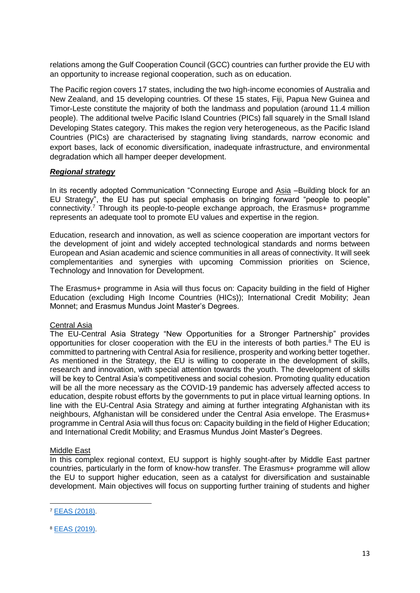relations among the Gulf Cooperation Council (GCC) countries can further provide the EU with an opportunity to increase regional cooperation, such as on education.

The Pacific region covers 17 states, including the two high-income economies of Australia and New Zealand, and 15 developing countries. Of these 15 states, Fiji, Papua New Guinea and Timor-Leste constitute the majority of both the landmass and population (around 11.4 million people). The additional twelve Pacific Island Countries (PICs) fall squarely in the Small Island Developing States category. This makes the region very heterogeneous, as the Pacific Island Countries (PICs) are characterised by stagnating living standards, narrow economic and export bases, lack of economic diversification, inadequate infrastructure, and environmental degradation which all hamper deeper development.

#### *Regional strategy*

In its recently adopted Communication "Connecting Europe and Asia –Building block for an EU Strategy", the EU has put special emphasis on bringing forward "people to people" connectivity.<sup>7</sup> Through its people-to-people exchange approach, the Erasmus+ programme represents an adequate tool to promote EU values and expertise in the region.

Education, research and innovation, as well as science cooperation are important vectors for the development of joint and widely accepted technological standards and norms between European and Asian academic and science communities in all areas of connectivity. It will seek complementarities and synergies with upcoming Commission priorities on Science, Technology and Innovation for Development.

The Erasmus+ programme in Asia will thus focus on: Capacity building in the field of Higher Education (excluding High Income Countries (HICs)); International Credit Mobility; Jean Monnet; and Erasmus Mundus Joint Master's Degrees.

#### Central Asia

The EU-Central Asia Strategy "New Opportunities for a Stronger Partnership" provides opportunities for closer cooperation with the EU in the interests of both parties.<sup>8</sup> The EU is committed to partnering with Central Asia for resilience, prosperity and working better together. As mentioned in the Strategy, the EU is willing to cooperate in the development of skills, research and innovation, with special attention towards the youth. The development of skills will be key to Central Asia's competitiveness and social cohesion. Promoting quality education will be all the more necessary as the COVID-19 pandemic has adversely affected access to education, despite robust efforts by the governments to put in place virtual learning options. In line with the EU-Central Asia Strategy and aiming at further integrating Afghanistan with its neighbours, Afghanistan will be considered under the Central Asia envelope. The Erasmus+ programme in Central Asia will thus focus on: Capacity building in the field of Higher Education; and International Credit Mobility; and Erasmus Mundus Joint Master's Degrees.

#### Middle East

In this complex regional context, EU support is highly sought-after by Middle East partner countries, particularly in the form of know-how transfer. The Erasmus+ programme will allow the EU to support higher education, seen as a catalyst for diversification and sustainable development. Main objectives will focus on supporting further training of students and higher

 $\overline{a}$ 

<sup>7</sup> [EEAS \(2018\)](https://eeas.europa.eu/sites/eeas/files/joint_communication_-_connecting_europe_and_asia_-_building_blocks_for_an_eu_strategy_2018-09-19.pdf).

<sup>8</sup> [EEAS \(2019\)](https://eeas.europa.eu/sites/eeas/files/joint_communication_-_the_eu_and_central_asia_-_new_opportunities_for_a_stronger_partnership.pdf).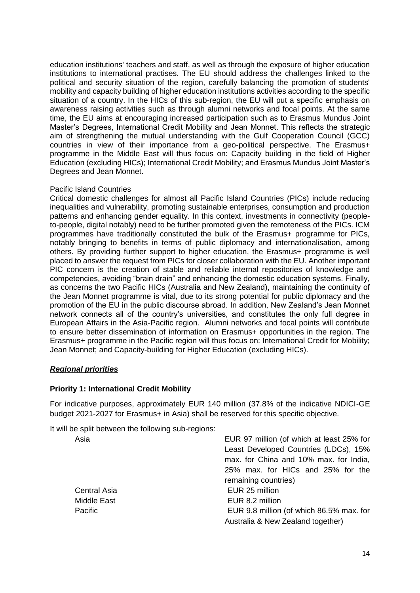education institutions' teachers and staff, as well as through the exposure of higher education institutions to international practises. The EU should address the challenges linked to the political and security situation of the region, carefully balancing the promotion of students' mobility and capacity building of higher education institutions activities according to the specific situation of a country. In the HICs of this sub-region, the EU will put a specific emphasis on awareness raising activities such as through alumni networks and focal points. At the same time, the EU aims at encouraging increased participation such as to Erasmus Mundus Joint Master's Degrees, International Credit Mobility and Jean Monnet. This reflects the strategic aim of strengthening the mutual understanding with the Gulf Cooperation Council (GCC) countries in view of their importance from a geo-political perspective. The Erasmus+ programme in the Middle East will thus focus on: Capacity building in the field of Higher Education (excluding HICs); International Credit Mobility; and Erasmus Mundus Joint Master's Degrees and Jean Monnet.

#### Pacific Island Countries

Critical domestic challenges for almost all Pacific Island Countries (PICs) include reducing inequalities and vulnerability, promoting sustainable enterprises, consumption and production patterns and enhancing gender equality. In this context, investments in connectivity (peopleto-people, digital notably) need to be further promoted given the remoteness of the PICs. ICM programmes have traditionally constituted the bulk of the Erasmus+ programme for PICs, notably bringing to benefits in terms of public diplomacy and internationalisation, among others. By providing further support to higher education, the Erasmus+ programme is well placed to answer the request from PICs for closer collaboration with the EU. Another important PIC concern is the creation of stable and reliable internal repositories of knowledge and competencies, avoiding "brain drain" and enhancing the domestic education systems. Finally, as concerns the two Pacific HICs (Australia and New Zealand), maintaining the continuity of the Jean Monnet programme is vital, due to its strong potential for public diplomacy and the promotion of the EU in the public discourse abroad. In addition, New Zealand's Jean Monnet network connects all of the country's universities, and constitutes the only full degree in European Affairs in the Asia-Pacific region. Alumni networks and focal points will contribute to ensure better dissemination of information on Erasmus+ opportunities in the region. The Erasmus+ programme in the Pacific region will thus focus on: International Credit for Mobility; Jean Monnet; and Capacity-building for Higher Education (excluding HICs).

#### *Regional priorities*

#### **Priority 1: International Credit Mobility**

For indicative purposes, approximately EUR 140 million (37.8% of the indicative NDICI-GE budget 2021-2027 for Erasmus+ in Asia) shall be reserved for this specific objective.

It will be split between the following sub-regions:

EUR 97 million (of which at least 25% for Least Developed Countries (LDCs), 15% max. for China and 10% max. for India, 25% max. for HICs and 25% for the remaining countries) Central Asia EUR 25 million Middle Fast **EUR 8.2 million** Pacific EUR 9.8 million (of which 86.5% max. for Australia & New Zealand together)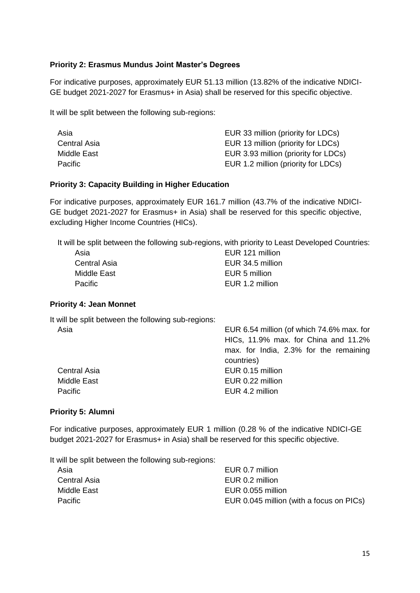# **Priority 2: Erasmus Mundus Joint Master's Degrees**

For indicative purposes, approximately EUR 51.13 million (13.82% of the indicative NDICI-GE budget 2021-2027 for Erasmus+ in Asia) shall be reserved for this specific objective.

It will be split between the following sub-regions:

| Asia         | EUR 33 million (priority for LDCs)   |
|--------------|--------------------------------------|
| Central Asia | EUR 13 million (priority for LDCs)   |
| Middle East  | EUR 3.93 million (priority for LDCs) |
| Pacific      | EUR 1.2 million (priority for LDCs)  |

#### **Priority 3: Capacity Building in Higher Education**

For indicative purposes, approximately EUR 161.7 million (43.7% of the indicative NDICI-GE budget 2021-2027 for Erasmus+ in Asia) shall be reserved for this specific objective, excluding Higher Income Countries (HICs).

It will be split between the following sub-regions, with priority to Least Developed Countries:

| EUR 121 million  |
|------------------|
| EUR 34.5 million |
| EUR 5 million    |
| EUR 1.2 million  |
|                  |

#### **Priority 4: Jean Monnet**

It will be split between the following sub-regions:

| Asia                | EUR 6.54 million (of which 74.6% max. for |
|---------------------|-------------------------------------------|
|                     | HICs, 11.9% max. for China and 11.2%      |
|                     | max. for India, 2.3% for the remaining    |
|                     | countries)                                |
| <b>Central Asia</b> | EUR 0.15 million                          |
| Middle East         | EUR 0.22 million                          |
| Pacific             | EUR 4.2 million                           |
|                     |                                           |

#### **Priority 5: Alumni**

For indicative purposes, approximately EUR 1 million (0.28 % of the indicative NDICI-GE budget 2021-2027 for Erasmus+ in Asia) shall be reserved for this specific objective.

It will be split between the following sub-regions:

| EUR 0.7 million                          |
|------------------------------------------|
| EUR 0.2 million                          |
| EUR 0.055 million                        |
| EUR 0.045 million (with a focus on PICs) |
|                                          |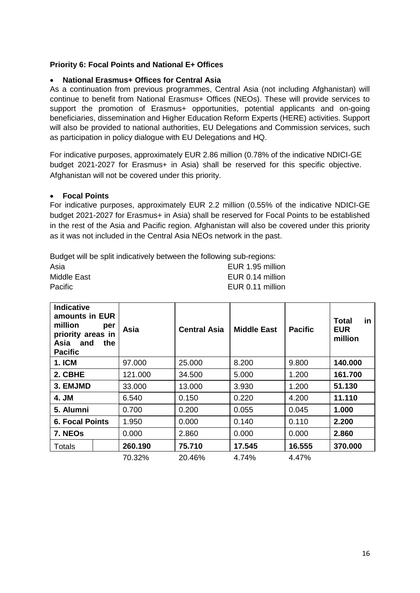# **Priority 6: Focal Points and National E+ Offices**

#### **National Erasmus+ Offices for Central Asia**

As a continuation from previous programmes, Central Asia (not including Afghanistan) will continue to benefit from National Erasmus+ Offices (NEOs). These will provide services to support the promotion of Erasmus+ opportunities, potential applicants and on-going beneficiaries, dissemination and Higher Education Reform Experts (HERE) activities. Support will also be provided to national authorities, EU Delegations and Commission services, such as participation in policy dialogue with EU Delegations and HQ.

For indicative purposes, approximately EUR 2.86 million (0.78% of the indicative NDICI-GE budget 2021-2027 for Erasmus+ in Asia) shall be reserved for this specific objective. Afghanistan will not be covered under this priority.

#### **Focal Points**

For indicative purposes, approximately EUR 2.2 million (0.55% of the indicative NDICI-GE budget 2021-2027 for Erasmus+ in Asia) shall be reserved for Focal Points to be established in the rest of the Asia and Pacific region. Afghanistan will also be covered under this priority as it was not included in the Central Asia NEOs network in the past.

Budget will be split indicatively between the following sub-regions: Asia EUR 1.95 million Middle East **EUR 0.14 million** Pacific **EUR 0.11 million** 

| <b>Indicative</b><br>amounts in EUR<br>million<br>priority areas in<br>Asia<br>and<br><b>Pacific</b> | per<br>the | Asia    | <b>Central Asia</b> | Middle East | <b>Pacific</b> | in<br>Total<br><b>EUR</b><br>million |
|------------------------------------------------------------------------------------------------------|------------|---------|---------------------|-------------|----------------|--------------------------------------|
| <b>1. ICM</b>                                                                                        |            | 97.000  | 25.000              | 8.200       | 9.800          | 140.000                              |
| 2. CBHE                                                                                              |            | 121.000 | 34.500              | 5.000       | 1.200          | 161.700                              |
| 3. EMJMD                                                                                             |            | 33.000  | 13.000              | 3.930       | 1.200          | 51.130                               |
| 4. JM                                                                                                |            | 6.540   | 0.150               | 0.220       | 4.200          | 11.110                               |
| 5. Alumni                                                                                            |            | 0.700   | 0.200               | 0.055       | 0.045          | 1.000                                |
| <b>6. Focal Points</b>                                                                               |            | 1.950   | 0.000               | 0.140       | 0.110          | 2.200                                |
| 7. NEOs                                                                                              |            | 0.000   | 2.860               | 0.000       | 0.000          | 2.860                                |
| Totals                                                                                               |            | 260.190 | 75.710              | 17.545      | 16.555         | 370.000                              |
|                                                                                                      |            | 70.32%  | 20.46%              | 4.74%       | 4.47%          |                                      |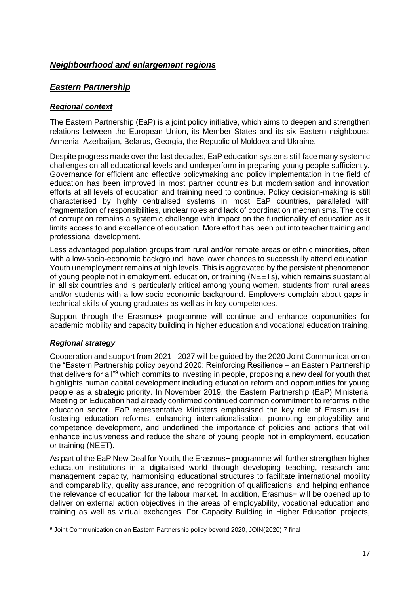# *Neighbourhood and enlargement regions*

# *Eastern Partnership*

#### *Regional context*

The Eastern Partnership (EaP) is a joint policy initiative, which aims to deepen and strengthen relations between the European Union, its Member States and its six Eastern neighbours: Armenia, Azerbaijan, Belarus, Georgia, the Republic of Moldova and Ukraine.

Despite progress made over the last decades, EaP education systems still face many systemic challenges on all educational levels and underperform in preparing young people sufficiently. Governance for efficient and effective policymaking and policy implementation in the field of education has been improved in most partner countries but modernisation and innovation efforts at all levels of education and training need to continue. Policy decision-making is still characterised by highly centralised systems in most EaP countries, paralleled with fragmentation of responsibilities, unclear roles and lack of coordination mechanisms. The cost of corruption remains a systemic challenge with impact on the functionality of education as it limits access to and excellence of education. More effort has been put into teacher training and professional development.

Less advantaged population groups from rural and/or remote areas or ethnic minorities, often with a low-socio-economic background, have lower chances to successfully attend education. Youth unemployment remains at high levels. This is aggravated by the persistent phenomenon of young people not in employment, education, or training (NEETs), which remains substantial in all six countries and is particularly critical among young women, students from rural areas and/or students with a low socio-economic background. Employers complain about gaps in technical skills of young graduates as well as in key competences.

Support through the Erasmus+ programme will continue and enhance opportunities for academic mobility and capacity building in higher education and vocational education training.

#### *Regional strategy*

Cooperation and support from 2021– 2027 will be guided by the 2020 Joint Communication on the "Eastern Partnership policy beyond 2020: Reinforcing Resilience – an Eastern Partnership that delivers for all"<sup>9</sup> which commits to investing in people, proposing a new deal for youth that highlights human capital development including education reform and opportunities for young people as a strategic priority. In November 2019, the Eastern Partnership (EaP) Ministerial Meeting on Education had already confirmed continued common commitment to reforms in the education sector. EaP representative Ministers emphasised the key role of Erasmus+ in fostering education reforms, enhancing internationalisation, promoting employability and competence development, and underlined the importance of policies and actions that will enhance inclusiveness and reduce the share of young people not in employment, education or training (NEET).

As part of the EaP New Deal for Youth, the Erasmus+ programme will further strengthen higher education institutions in a digitalised world through developing teaching, research and management capacity, harmonising educational structures to facilitate international mobility and comparability, quality assurance, and recognition of qualifications, and helping enhance the relevance of education for the labour market. In addition, Erasmus+ will be opened up to deliver on external action objectives in the areas of employability, vocational education and training as well as virtual exchanges. For Capacity Building in Higher Education projects,

**<sup>.</sup>** <sup>9</sup> Joint Communication on an Eastern Partnership policy beyond 2020, JOIN(2020) 7 final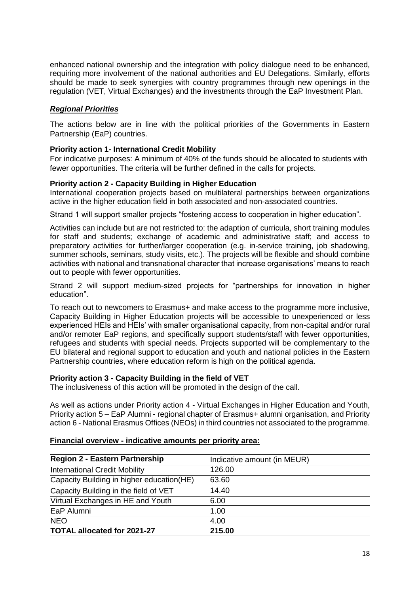enhanced national ownership and the integration with policy dialogue need to be enhanced, requiring more involvement of the national authorities and EU Delegations. Similarly, efforts should be made to seek synergies with country programmes through new openings in the regulation (VET, Virtual Exchanges) and the investments through the EaP Investment Plan.

# *Regional Priorities*

The actions below are in line with the political priorities of the Governments in Eastern Partnership (EaP) countries.

#### **Priority action 1- International Credit Mobility**

For indicative purposes: A minimum of 40% of the funds should be allocated to students with fewer opportunities. The criteria will be further defined in the calls for projects.

#### **Priority action 2 - Capacity Building in Higher Education**

International cooperation projects based on multilateral partnerships between organizations active in the higher education field in both associated and non-associated countries.

Strand 1 will support smaller projects "fostering access to cooperation in higher education".

Activities can include but are not restricted to: the adaption of curricula, short training modules for staff and students; exchange of academic and administrative staff; and access to preparatory activities for further/larger cooperation (e.g. in-service training, job shadowing, summer schools, seminars, study visits, etc.). The projects will be flexible and should combine activities with national and transnational character that increase organisations' means to reach out to people with fewer opportunities.

Strand 2 will support medium-sized projects for "partnerships for innovation in higher education".

To reach out to newcomers to Erasmus+ and make access to the programme more inclusive, Capacity Building in Higher Education projects will be accessible to unexperienced or less experienced HEIs and HEIs' with smaller organisational capacity, from non-capital and/or rural and/or remoter EaP regions, and specifically support students/staff with fewer opportunities, refugees and students with special needs. Projects supported will be complementary to the EU bilateral and regional support to education and youth and national policies in the Eastern Partnership countries, where education reform is high on the political agenda.

#### **Priority action 3 - Capacity Building in the field of VET**

The inclusiveness of this action will be promoted in the design of the call.

As well as actions under Priority action 4 - Virtual Exchanges in Higher Education and Youth, Priority action 5 – EaP Alumni - regional chapter of Erasmus+ alumni organisation, and Priority action 6 - National Erasmus Offices (NEOs) in third countries not associated to the programme.

| Region 2 - Eastern Partnership            | Indicative amount (in MEUR) |
|-------------------------------------------|-----------------------------|
| International Credit Mobility             | 126.00                      |
| Capacity Building in higher education(HE) | 63.60                       |
| Capacity Building in the field of VET     | 14.40                       |
| Virtual Exchanges in HE and Youth         | 6.00                        |
| EaP Alumni                                | 1.00                        |
| <b>NEO</b>                                | 4.00                        |
| <b>TOTAL allocated for 2021-27</b>        | 215.00                      |

#### **Financial overview - indicative amounts per priority area:**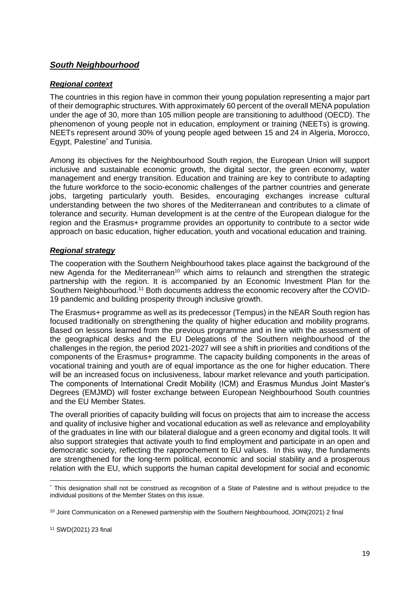# *South Neighbourhood*

# *Regional context*

The countries in this region have in common their young population representing a major part of their demographic structures. With approximately 60 percent of the overall MENA population under the age of 30, more than 105 million people are transitioning to adulthood (OECD). The phenomenon of young people not in education, employment or training (NEETs) is growing. NEETs represent around 30% of young people aged between 15 and 24 in Algeria, Morocco, Egypt, Palestine<sup>\*</sup> and Tunisia.

Among its objectives for the Neighbourhood South region, the European Union will support inclusive and sustainable economic growth, the digital sector, the green economy, water management and energy transition. Education and training are key to contribute to adapting the future workforce to the socio-economic challenges of the partner countries and generate jobs, targeting particularly youth. Besides, encouraging exchanges increase cultural understanding between the two shores of the Mediterranean and contributes to a climate of tolerance and security. Human development is at the centre of the European dialogue for the region and the Erasmus+ programme provides an opportunity to contribute to a sector wide approach on basic education, higher education, youth and vocational education and training.

# *Regional strategy*

The cooperation with the Southern Neighbourhood takes place against the background of the new Agenda for the Mediterranean<sup>10</sup> which aims to relaunch and strengthen the strategic partnership with the region. It is accompanied by an [Economic Investment Plan for the](https://eeas.europa.eu/sites/eeas/files/joint_staff_working_document_renewed_partnership_southern_neighbourhood.pdf)  [Southern Neighbourhood.](https://eeas.europa.eu/sites/eeas/files/joint_staff_working_document_renewed_partnership_southern_neighbourhood.pdf)<sup>11</sup> Both documents address the economic recovery after the COVID-19 pandemic and building prosperity through inclusive growth.

The Erasmus+ programme as well as its predecessor (Tempus) in the NEAR South region has focused traditionally on strengthening the quality of higher education and mobility programs. Based on lessons learned from the previous programme and in line with the assessment of the geographical desks and the EU Delegations of the Southern neighbourhood of the challenges in the region, the period 2021-2027 will see a shift in priorities and conditions of the components of the Erasmus+ programme. The capacity building components in the areas of vocational training and youth are of equal importance as the one for higher education. There will be an increased focus on inclusiveness, labour market relevance and youth participation. The components of International Credit Mobility (ICM) and Erasmus Mundus Joint Master's Degrees (EMJMD) will foster exchange between European Neighbourhood South countries and the EU Member States.

The overall priorities of capacity building will focus on projects that aim to increase the access and quality of inclusive higher and vocational education as well as relevance and employability of the graduates in line with our bilateral dialogue and a green economy and digital tools. It will also support strategies that activate youth to find employment and participate in an open and democratic society, reflecting the rapprochement to EU values. In this way, the fundaments are strengthened for the long-term political, economic and social stability and a prosperous relation with the EU, which supports the human capital development for social and economic

**<sup>.</sup>** \* This designation shall not be construed as recognition of a State of Palestine and is without prejudice to the individual positions of the Member States on this issue.

<sup>&</sup>lt;sup>10</sup> Joint Communication on a Renewed partnership with the Southern Neighbourhood, JOIN(2021) 2 final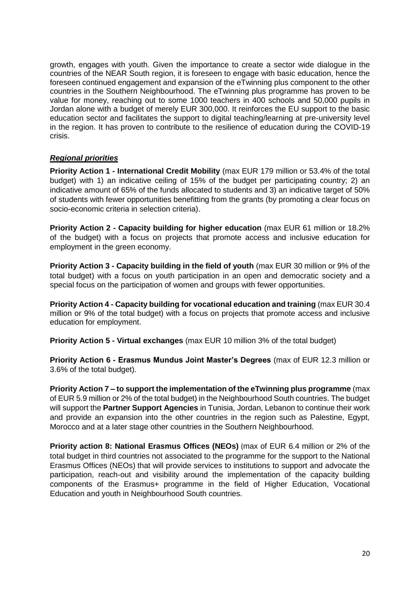growth, engages with youth. Given the importance to create a sector wide dialogue in the countries of the NEAR South region, it is foreseen to engage with basic education, hence the foreseen continued engagement and expansion of the eTwinning plus component to the other countries in the Southern Neighbourhood. The eTwinning plus programme has proven to be value for money, reaching out to some 1000 teachers in 400 schools and 50,000 pupils in Jordan alone with a budget of merely EUR 300,000. It reinforces the EU support to the basic education sector and facilitates the support to digital teaching/learning at pre-university level in the region. It has proven to contribute to the resilience of education during the COVID-19 crisis.

# *Regional priorities*

**Priority Action 1 - International Credit Mobility** (max EUR 179 million or 53.4% of the total budget) with 1) an indicative ceiling of 15% of the budget per participating country; 2) an indicative amount of 65% of the funds allocated to students and 3) an indicative target of 50% of students with fewer opportunities benefitting from the grants (by promoting a clear focus on socio-economic criteria in selection criteria).

**Priority Action 2 - Capacity building for higher education** (max EUR 61 million or 18.2% of the budget) with a focus on projects that promote access and inclusive education for employment in the green economy.

**Priority Action 3 - Capacity building in the field of youth** (max EUR 30 million or 9% of the total budget) with a focus on youth participation in an open and democratic society and a special focus on the participation of women and groups with fewer opportunities.

**Priority Action 4 - Capacity building for vocational education and training** (max EUR 30.4 million or 9% of the total budget) with a focus on projects that promote access and inclusive education for employment.

**Priority Action 5 - Virtual exchanges** (max EUR 10 million 3% of the total budget)

**Priority Action 6 - Erasmus Mundus Joint Master's Degrees** (max of EUR 12.3 million or 3.6% of the total budget).

**Priority Action 7 – to support the implementation of the eTwinning plus programme** (max of EUR 5.9 million or 2% of the total budget) in the Neighbourhood South countries. The budget will support the **Partner Support Agencies** in Tunisia, Jordan, Lebanon to continue their work and provide an expansion into the other countries in the region such as Palestine, Egypt, Morocco and at a later stage other countries in the Southern Neighbourhood.

**Priority action 8: National Erasmus Offices (NEOs)** (max of EUR 6.4 million or 2% of the total budget in third countries not associated to the programme for the support to the National Erasmus Offices (NEOs) that will provide services to institutions to support and advocate the participation, reach-out and visibility around the implementation of the capacity building components of the Erasmus+ programme in the field of Higher Education, Vocational Education and youth in Neighbourhood South countries.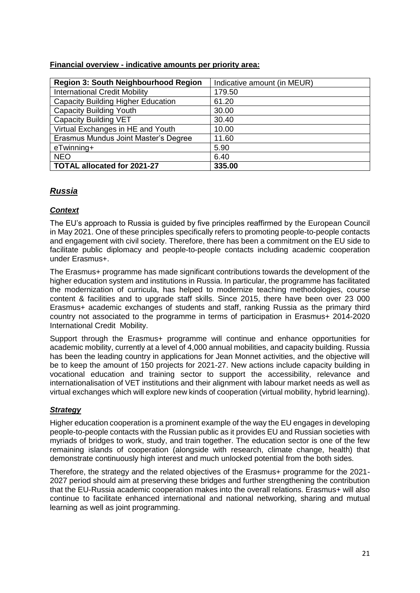| <b>Region 3: South Neighbourhood Region</b> | Indicative amount (in MEUR) |
|---------------------------------------------|-----------------------------|
| <b>International Credit Mobility</b>        | 179.50                      |
| <b>Capacity Building Higher Education</b>   | 61.20                       |
| <b>Capacity Building Youth</b>              | 30.00                       |
| <b>Capacity Building VET</b>                | 30.40                       |
| Virtual Exchanges in HE and Youth           | 10.00                       |
| Erasmus Mundus Joint Master's Degree        | 11.60                       |
| eTwinning+                                  | 5.90                        |
| <b>NEO</b>                                  | 6.40                        |
| <b>TOTAL allocated for 2021-27</b>          | 335.00                      |

#### **Financial overview - indicative amounts per priority area:**

# *Russia*

# *Context*

The EU's approach to Russia is guided by five principles reaffirmed by the European Council in May 2021. One of these principles specifically refers to promoting people-to-people contacts and engagement with civil society. Therefore, there has been a commitment on the EU side to facilitate public diplomacy and people-to-people contacts including academic cooperation under Erasmus+.

The Erasmus+ programme has made significant contributions towards the development of the higher education system and institutions in Russia. In particular, the programme has facilitated the modernization of curricula, has helped to modernize teaching methodologies, course content & facilities and to upgrade staff skills. Since 2015, there have been over 23 000 Erasmus+ academic exchanges of students and staff, ranking Russia as the primary third country not associated to the programme in terms of participation in Erasmus+ 2014-2020 International Credit Mobility.

Support through the Erasmus+ programme will continue and enhance opportunities for academic mobility, currently at a level of 4,000 annual mobilities, and capacity building. Russia has been the leading country in applications for Jean Monnet activities, and the objective will be to keep the amount of 150 projects for 2021-27. New actions include capacity building in vocational education and training sector to support the accessibility, relevance and internationalisation of VET institutions and their alignment with labour market needs as well as virtual exchanges which will explore new kinds of cooperation (virtual mobility, hybrid learning).

# *Strategy*

Higher education cooperation is a prominent example of the way the EU engages in developing people-to-people contacts with the Russian public as it provides EU and Russian societies with myriads of bridges to work, study, and train together. The education sector is one of the few remaining islands of cooperation (alongside with research, climate change, health) that demonstrate continuously high interest and much unlocked potential from the both sides.

Therefore, the strategy and the related objectives of the Erasmus+ programme for the 2021- 2027 period should aim at preserving these bridges and further strengthening the contribution that the EU-Russia academic cooperation makes into the overall relations. Erasmus+ will also continue to facilitate enhanced international and national networking, sharing and mutual learning as well as joint programming.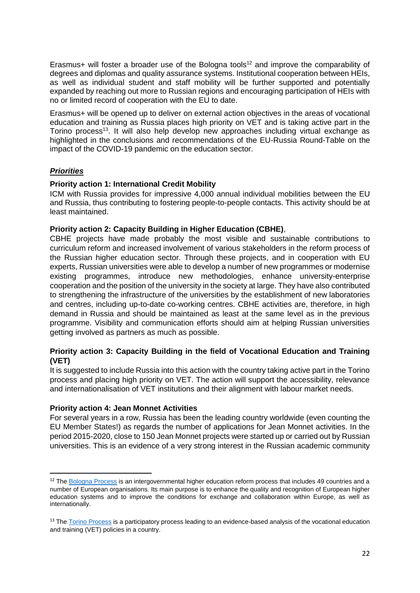Erasmus+ will foster a broader use of the Bologna tools<sup>12</sup> and improve the comparability of degrees and diplomas and quality assurance systems. Institutional cooperation between HEIs, as well as individual student and staff mobility will be further supported and potentially expanded by reaching out more to Russian regions and encouraging participation of HEIs with no or limited record of cooperation with the EU to date.

Erasmus+ will be opened up to deliver on external action objectives in the areas of vocational education and training as Russia places high priority on VET and is taking active part in the Torino process<sup>13</sup>. It will also help develop new approaches including virtual exchange as highlighted in the conclusions and recommendations of the EU-Russia Round-Table on the impact of the COVID-19 pandemic on the education sector.

# *Priorities*

1

#### **Priority action 1: International Credit Mobility**

ICM with Russia provides for impressive 4,000 annual individual mobilities between the EU and Russia, thus contributing to fostering people-to-people contacts. This activity should be at least maintained.

#### **Priority action 2: Capacity Building in Higher Education (CBHE)**,

CBHE projects have made probably the most visible and sustainable contributions to curriculum reform and increased involvement of various stakeholders in the reform process of the Russian higher education sector. Through these projects, and in cooperation with EU experts, Russian universities were able to develop a number of new programmes or modernise existing programmes, introduce new methodologies, enhance university-enterprise cooperation and the position of the university in the society at large. They have also contributed to strengthening the infrastructure of the universities by the establishment of new laboratories and centres, including up-to-date co-working centres. CBHE activities are, therefore, in high demand in Russia and should be maintained as least at the same level as in the previous programme. Visibility and communication efforts should aim at helping Russian universities getting involved as partners as much as possible.

# **Priority action 3: Capacity Building in the field of Vocational Education and Training (VET)**

It is suggested to include Russia into this action with the country taking active part in the Torino process and placing high priority on VET. The action will support the accessibility, relevance and internationalisation of VET institutions and their alignment with labour market needs.

#### **Priority action 4: Jean Monnet Activities**

For several years in a row, Russia has been the leading country worldwide (even counting the EU Member States!) as regards the number of applications for Jean Monnet activities. In the period 2015-2020, close to 150 Jean Monnet projects were started up or carried out by Russian universities. This is an evidence of a very strong interest in the Russian academic community

<sup>&</sup>lt;sup>12</sup> The [Bologna Process](http://www.ehea.info/) is an intergovernmental higher education reform process that includes 49 countries and a number of European organisations. Its main purpose is to enhance the quality and recognition of European higher education systems and to improve the conditions for exchange and collaboration within Europe, as well as internationally.

<sup>&</sup>lt;sup>13</sup> Th[e Torino Process](https://www.torinoprocess.eu/) is a participatory process leading to an evidence-based analysis of the vocational education and training (VET) policies in a country.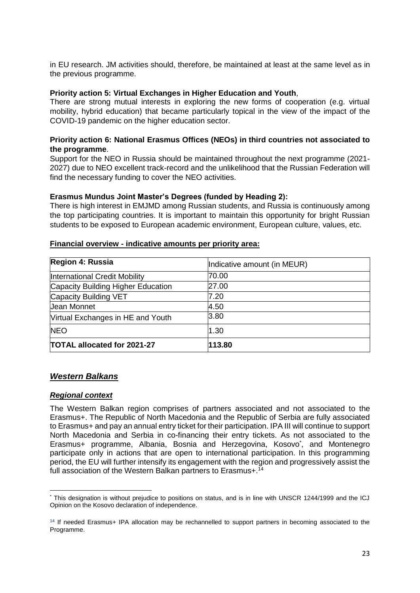in EU research. JM activities should, therefore, be maintained at least at the same level as in the previous programme.

#### **Priority action 5: Virtual Exchanges in Higher Education and Youth**,

There are strong mutual interests in exploring the new forms of cooperation (e.g. virtual mobility, hybrid education) that became particularly topical in the view of the impact of the COVID-19 pandemic on the higher education sector.

#### **Priority action 6: National Erasmus Offices (NEOs) in third countries not associated to the programme**.

Support for the NEO in Russia should be maintained throughout the next programme (2021- 2027) due to NEO excellent track-record and the unlikelihood that the Russian Federation will find the necessary funding to cover the NEO activities.

#### **Erasmus Mundus Joint Master's Degrees (funded by Heading 2):**

There is high interest in EMJMD among Russian students, and Russia is continuously among the top participating countries. It is important to maintain this opportunity for bright Russian students to be exposed to European academic environment, European culture, values, etc.

#### **Financial overview - indicative amounts per priority area:**

| Region 4: Russia                   | Indicative amount (in MEUR) |
|------------------------------------|-----------------------------|
| International Credit Mobility      | 70.00                       |
| Capacity Building Higher Education | 27.00                       |
| Capacity Building VET              | 7.20                        |
| Jean Monnet                        | 4.50                        |
| Virtual Exchanges in HE and Youth  | 3.80                        |
| <b>NEO</b>                         | 1.30                        |
| <b>TOTAL allocated for 2021-27</b> | 113.80                      |

#### *Western Balkans*

#### *Regional context*

The Western Balkan region comprises of partners associated and not associated to the Erasmus+. The Republic of North Macedonia and the Republic of Serbia are fully associated to Erasmus+ and pay an annual entry ticket for their participation. IPA III will continue to support North Macedonia and Serbia in co-financing their entry tickets. As not associated to the Erasmus+ programme, Albania, Bosnia and Herzegovina, Kosovo<sup>\*</sup>, and Montenegro participate only in actions that are open to international participation. In this programming period, the EU will further intensify its engagement with the region and progressively assist the full association of the Western Balkan partners to Erasmus+.<sup>14</sup>

<sup>1</sup> \* This designation is without prejudice to positions on status, and is in line with UNSCR 1244/1999 and the ICJ Opinion on the Kosovo declaration of independence.

<sup>&</sup>lt;sup>14</sup> If needed Erasmus+ IPA allocation may be rechannelled to support partners in becoming associated to the Programme.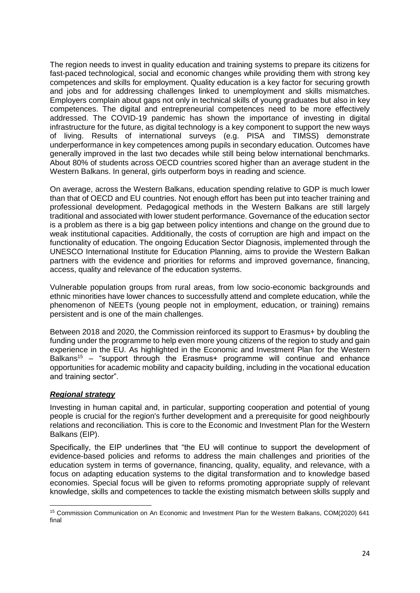The region needs to invest in quality education and training systems to prepare its citizens for fast-paced technological, social and economic changes while providing them with strong key competences and skills for employment. Quality education is a key factor for securing growth and jobs and for addressing challenges linked to unemployment and skills mismatches. Employers complain about gaps not only in technical skills of young graduates but also in key competences. The digital and entrepreneurial competences need to be more effectively addressed. The COVID-19 pandemic has shown the importance of investing in digital infrastructure for the future, as digital technology is a key component to support the new ways of living. Results of international surveys (e.g. PISA and TIMSS) demonstrate underperformance in key competences among pupils in secondary education. Outcomes have generally improved in the last two decades while still being below international benchmarks. About 80% of students across OECD countries scored higher than an average student in the Western Balkans. In general, girls outperform boys in reading and science.

On average, across the Western Balkans, education spending relative to GDP is much lower than that of OECD and EU countries. Not enough effort has been put into teacher training and professional development. Pedagogical methods in the Western Balkans are still largely traditional and associated with lower student performance. Governance of the education sector is a problem as there is a big gap between policy intentions and change on the ground due to weak institutional capacities. Additionally, the costs of corruption are high and impact on the functionality of education. The ongoing Education Sector Diagnosis, implemented through the UNESCO International Institute for Education Planning, aims to provide the Western Balkan partners with the evidence and priorities for reforms and improved governance, financing, access, quality and relevance of the education systems.

Vulnerable population groups from rural areas, from low socio-economic backgrounds and ethnic minorities have lower chances to successfully attend and complete education, while the phenomenon of NEETs (young people not in employment, education, or training) remains persistent and is one of the main challenges.

Between 2018 and 2020, the Commission reinforced its support to Erasmus+ by doubling the funding under the programme to help even more young citizens of the region to study and gain experience in the EU. As highlighted in the Economic and Investment Plan for the Western Balkans<sup>15</sup> – "support through the Erasmus+ programme will continue and enhance opportunities for academic mobility and capacity building, including in the vocational education and training sector".

#### *Regional strategy*

**.** 

Investing in human capital and, in particular, supporting cooperation and potential of young people is crucial for the region's further development and a prerequisite for good neighbourly relations and reconciliation. This is core to the Economic and Investment Plan for the Western Balkans (EIP).

Specifically, the EIP underlines that "the EU will continue to support the development of evidence-based policies and reforms to address the main challenges and priorities of the education system in terms of governance, financing, quality, equality, and relevance, with a focus on adapting education systems to the digital transformation and to knowledge based economies. Special focus will be given to reforms promoting appropriate supply of relevant knowledge, skills and competences to tackle the existing mismatch between skills supply and

<sup>15</sup> Commission Communication on An Economic and Investment Plan for the Western Balkans, COM(2020) 641 final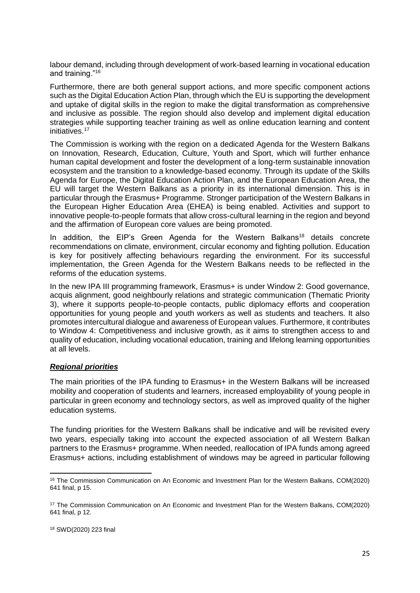labour demand, including through development of work-based learning in vocational education and training."<sup>16</sup>

Furthermore, there are both general support actions, and more specific component actions such as the Digital Education Action Plan, through which the EU is supporting the development and uptake of digital skills in the region to make the digital transformation as comprehensive and inclusive as possible. The region should also develop and implement digital education strategies while supporting teacher training as well as online education learning and content initiatives.<sup>17</sup>

The Commission is working with the region on a dedicated Agenda for the Western Balkans on Innovation, Research, Education, Culture, Youth and Sport, which will further enhance human capital development and foster the development of a long-term sustainable innovation ecosystem and the transition to a knowledge-based economy. Through its update of the Skills Agenda for Europe, the Digital Education Action Plan, and the European Education Area, the EU will target the Western Balkans as a priority in its international dimension. This is in particular through the Erasmus+ Programme. Stronger participation of the Western Balkans in the European Higher Education Area (EHEA) is being enabled. Activities and support to innovative people-to-people formats that allow cross-cultural learning in the region and beyond and the affirmation of European core values are being promoted.

In addition, the EIP's Green Agenda for the Western Balkans<sup>18</sup> details concrete recommendations on climate, environment, circular economy and fighting pollution. Education is key for positively affecting behaviours regarding the environment. For its successful implementation, the Green Agenda for the Western Balkans needs to be reflected in the reforms of the education systems.

In the new IPA III programming framework, Erasmus+ is under Window 2: Good governance, acquis alignment, good neighbourly relations and strategic communication (Thematic Priority 3), where it supports people-to-people contacts, public diplomacy efforts and cooperation opportunities for young people and youth workers as well as students and teachers. It also promotes intercultural dialogue and awareness of European values. Furthermore, it contributes to Window 4: Competitiveness and inclusive growth, as it aims to strengthen access to and quality of education, including vocational education, training and lifelong learning opportunities at all levels.

# *Regional priorities*

The main priorities of the IPA funding to Erasmus+ in the Western Balkans will be increased mobility and cooperation of students and learners, increased employability of young people in particular in green economy and technology sectors, as well as improved quality of the higher education systems.

The funding priorities for the Western Balkans shall be indicative and will be revisited every two years, especially taking into account the expected association of all Western Balkan partners to the Erasmus+ programme. When needed, reallocation of IPA funds among agreed Erasmus+ actions, including establishment of windows may be agreed in particular following

1

<sup>16</sup> The Commission Communication on An Economic and Investment Plan for the Western Balkans, COM(2020) 641 final, p 15.

<sup>17</sup> The Commission Communication on An Economic and Investment Plan for the Western Balkans, COM(2020) 641 final, p 12.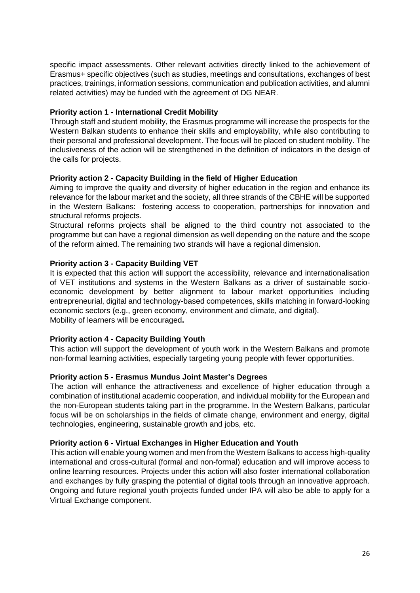specific impact assessments. Other relevant activities directly linked to the achievement of Erasmus+ specific objectives (such as studies, meetings and consultations, exchanges of best practices, trainings, information sessions, communication and publication activities, and alumni related activities) may be funded with the agreement of DG NEAR.

#### **Priority action 1 - International Credit Mobility**

Through staff and student mobility, the Erasmus programme will increase the prospects for the Western Balkan students to enhance their skills and employability, while also contributing to their personal and professional development. The focus will be placed on student mobility. The inclusiveness of the action will be strengthened in the definition of indicators in the design of the calls for projects.

# **Priority action 2 - Capacity Building in the field of Higher Education**

Aiming to improve the quality and diversity of higher education in the region and enhance its relevance for the labour market and the society, all three strands of the CBHE will be supported in the Western Balkans: fostering access to cooperation, partnerships for innovation and structural reforms projects.

Structural reforms projects shall be aligned to the third country not associated to the programme but can have a regional dimension as well depending on the nature and the scope of the reform aimed. The remaining two strands will have a regional dimension.

# **Priority action 3 - Capacity Building VET**

It is expected that this action will support the accessibility, relevance and internationalisation of VET institutions and systems in the Western Balkans as a driver of sustainable socioeconomic development by better alignment to labour market opportunities including entrepreneurial, digital and technology-based competences, skills matching in forward-looking economic sectors (e.g., green economy, environment and climate, and digital). Mobility of learners will be encouraged**.**

# **Priority action 4 - Capacity Building Youth**

This action will support the development of youth work in the Western Balkans and promote non-formal learning activities, especially targeting young people with fewer opportunities.

#### **Priority action 5 - Erasmus Mundus Joint Master's Degrees**

The action will enhance the attractiveness and excellence of higher education through a combination of institutional academic cooperation, and individual mobility for the European and the non-European students taking part in the programme. In the Western Balkans, particular focus will be on scholarships in the fields of climate change, environment and energy, digital technologies, engineering, sustainable growth and jobs, etc.

#### **Priority action 6 - Virtual Exchanges in Higher Education and Youth**

This action will enable young women and men from the Western Balkans to access high-quality international and cross-cultural (formal and non-formal) education and will improve access to online learning resources. Projects under this action will also foster international collaboration and exchanges by fully grasping the potential of digital tools through an innovative approach. Ongoing and future regional youth projects funded under IPA will also be able to apply for a Virtual Exchange component.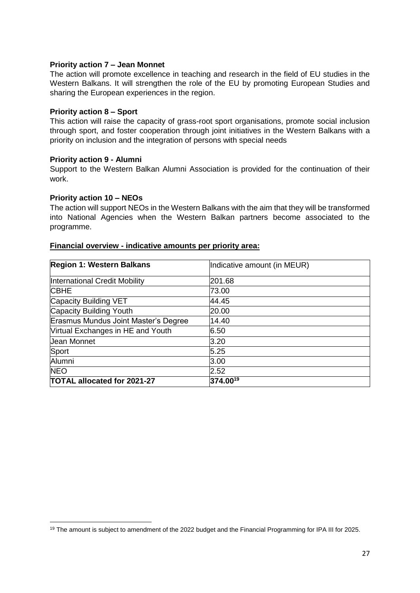#### **Priority action 7 – Jean Monnet**

The action will promote excellence in teaching and research in the field of EU studies in the Western Balkans. It will strengthen the role of the EU by promoting European Studies and sharing the European experiences in the region.

#### **Priority action 8 – Sport**

This action will raise the capacity of grass-root sport organisations, promote social inclusion through sport, and foster cooperation through joint initiatives in the Western Balkans with a priority on inclusion and the integration of persons with special needs

#### **Priority action 9 - Alumni**

Support to the Western Balkan Alumni Association is provided for the continuation of their work.

#### **Priority action 10 – NEOs**

The action will support NEOs in the Western Balkans with the aim that they will be transformed into National Agencies when the Western Balkan partners become associated to the programme.

#### **Financial overview - indicative amounts per priority area:**

| <b>Region 1: Western Balkans</b>     | Indicative amount (in MEUR) |
|--------------------------------------|-----------------------------|
| International Credit Mobility        | 201.68                      |
| <b>CBHE</b>                          | 73.00                       |
| Capacity Building VET                | 44.45                       |
| Capacity Building Youth              | 20.00                       |
| Erasmus Mundus Joint Master's Degree | 14.40                       |
| Virtual Exchanges in HE and Youth    | 6.50                        |
| Jean Monnet                          | 3.20                        |
| Sport                                | 5.25                        |
| Alumni                               | 3.00                        |
| <b>NEO</b>                           | 2.52                        |
| <b>TOTAL allocated for 2021-27</b>   | 374.0019                    |

**<sup>.</sup>** <sup>19</sup> The amount is subject to amendment of the 2022 budget and the Financial Programming for IPA III for 2025.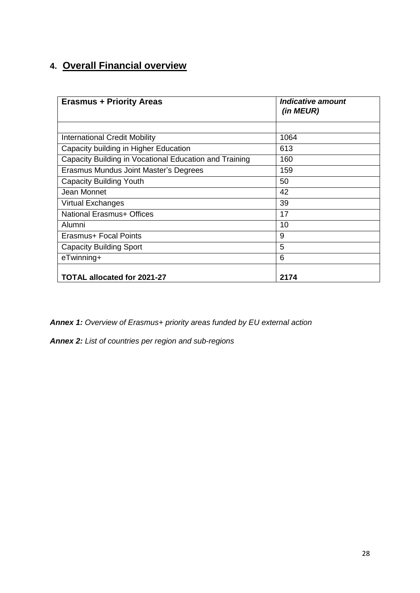# **4. Overall Financial overview**

| <b>Erasmus + Priority Areas</b>                        | <b>Indicative amount</b><br>(in MEUR) |
|--------------------------------------------------------|---------------------------------------|
|                                                        |                                       |
| <b>International Credit Mobility</b>                   | 1064                                  |
| Capacity building in Higher Education                  | 613                                   |
| Capacity Building in Vocational Education and Training | 160                                   |
| Erasmus Mundus Joint Master's Degrees                  | 159                                   |
| <b>Capacity Building Youth</b>                         | 50                                    |
| Jean Monnet                                            | 42                                    |
| Virtual Exchanges                                      | 39                                    |
| National Erasmus+ Offices                              | 17                                    |
| Alumni                                                 | 10                                    |
| Erasmus+ Focal Points                                  | 9                                     |
| <b>Capacity Building Sport</b>                         | 5                                     |
| eTwinning+                                             | 6                                     |
| TOTAL allocated for 2021-27                            | 2174                                  |

*Annex 1: Overview of Erasmus+ priority areas funded by EU external action*

*Annex 2: List of countries per region and sub-regions*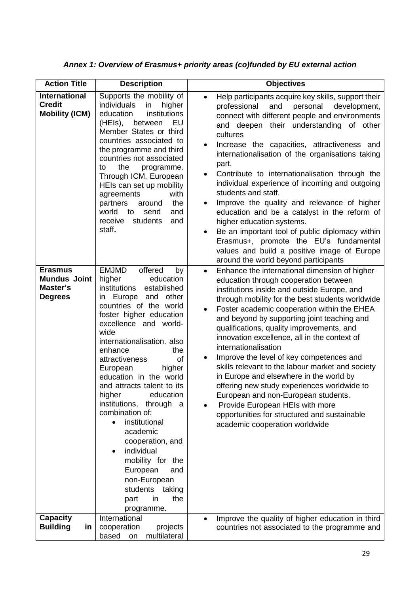| <b>Action Title</b>                                                 | <b>Description</b>                                                                                                                                                                                                                                                                                                                                                                                                                                                                                                                                                                                                                         | <b>Objectives</b>                                                                                                                                                                                                                                                                                                                                                                                                                                                                                                                                                                                                                                                                                                                                                                                             |
|---------------------------------------------------------------------|--------------------------------------------------------------------------------------------------------------------------------------------------------------------------------------------------------------------------------------------------------------------------------------------------------------------------------------------------------------------------------------------------------------------------------------------------------------------------------------------------------------------------------------------------------------------------------------------------------------------------------------------|---------------------------------------------------------------------------------------------------------------------------------------------------------------------------------------------------------------------------------------------------------------------------------------------------------------------------------------------------------------------------------------------------------------------------------------------------------------------------------------------------------------------------------------------------------------------------------------------------------------------------------------------------------------------------------------------------------------------------------------------------------------------------------------------------------------|
| <b>International</b><br><b>Credit</b><br><b>Mobility (ICM)</b>      | Supports the mobility of<br>individuals<br>in<br>higher<br>education<br>institutions<br>EU<br>(HEIs),<br>between<br>Member States or third<br>countries associated to<br>the programme and third<br>countries not associated<br>the<br>programme.<br>to<br>Through ICM, European<br>HEIs can set up mobility<br>agreements<br>with<br>partners<br>the<br>around<br>world<br>to<br>send<br>and<br>receive<br>students<br>and<br>staff.                                                                                                                                                                                                      | Help participants acquire key skills, support their<br>$\bullet$<br>and<br>professional<br>personal<br>development,<br>connect with different people and environments<br>and deepen their understanding of other<br>cultures<br>Increase the capacities, attractiveness and<br>internationalisation of the organisations taking<br>part.<br>Contribute to internationalisation through the<br>individual experience of incoming and outgoing<br>students and staff.<br>Improve the quality and relevance of higher<br>$\bullet$<br>education and be a catalyst in the reform of<br>higher education systems.<br>Be an important tool of public diplomacy within<br>$\bullet$<br>Erasmus+, promote the EU's fundamental<br>values and build a positive image of Europe<br>around the world beyond participants |
| <b>Erasmus</b><br><b>Mundus Joint</b><br>Master's<br><b>Degrees</b> | <b>EMJMD</b><br>offered<br>by<br>higher<br>education<br>institutions<br>established<br>in Europe<br>other<br>and<br>countries of the world<br>foster higher education<br>excellence and world-<br>wide<br>internationalisation. also<br>enhance<br>the<br>attractiveness<br>of<br>European<br>higher<br>education in the world<br>and attracts talent to its<br>higher<br>education<br>institutions,<br>through a<br>combination of:<br>institutional<br>$\bullet$<br>academic<br>cooperation, and<br>individual<br>$\bullet$<br>mobility for the<br>European<br>and<br>non-European<br>students taking<br>the<br>in<br>part<br>programme. | Enhance the international dimension of higher<br>$\bullet$<br>education through cooperation between<br>institutions inside and outside Europe, and<br>through mobility for the best students worldwide<br>Foster academic cooperation within the EHEA<br>$\bullet$<br>and beyond by supporting joint teaching and<br>qualifications, quality improvements, and<br>innovation excellence, all in the context of<br>internationalisation<br>Improve the level of key competences and<br>$\bullet$<br>skills relevant to the labour market and society<br>in Europe and elsewhere in the world by<br>offering new study experiences worldwide to<br>European and non-European students.<br>Provide European HEIs with more<br>opportunities for structured and sustainable<br>academic cooperation worldwide     |
| <b>Capacity</b><br><b>Building</b><br>in                            | International<br>cooperation<br>projects<br>multilateral<br>based<br>on                                                                                                                                                                                                                                                                                                                                                                                                                                                                                                                                                                    | Improve the quality of higher education in third<br>$\bullet$<br>countries not associated to the programme and                                                                                                                                                                                                                                                                                                                                                                                                                                                                                                                                                                                                                                                                                                |

*Annex 1: Overview of Erasmus+ priority areas (co)funded by EU external action*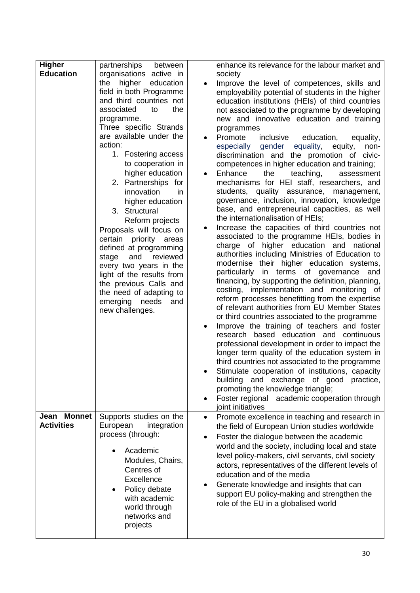| <b>Higher</b><br><b>Education</b> | partnerships<br>between<br>organisations active in<br>higher<br>the<br>education<br>field in both Programme<br>and third countries not<br>associated<br>the<br>to<br>programme.<br>Three specific Strands<br>are available under the<br>action:<br>1. Fostering access<br>to cooperation in<br>higher education<br>2. Partnerships for<br>innovation<br>in.<br>higher education<br>3. Structural<br>Reform projects<br>Proposals will focus on<br>certain<br>priority<br>areas<br>defined at programming<br>reviewed<br>stage<br>and<br>every two years in the<br>light of the results from<br>the previous Calls and<br>the need of adapting to<br>emerging<br>needs<br>and | enhance its relevance for the labour market and<br>society<br>Improve the level of competences, skills and<br>$\bullet$<br>employability potential of students in the higher<br>education institutions (HEIs) of third countries<br>not associated to the programme by developing<br>new and innovative education and training<br>programmes<br>Promote<br>inclusive<br>education,<br>equality,<br>$\bullet$<br>especially<br>gender<br>equality,<br>equity,<br>non-<br>discrimination and the promotion of civic-<br>competences in higher education and training;<br>Enhance<br>the<br>teaching,<br>assessment<br>٠<br>mechanisms for HEI staff, researchers, and<br>students, quality assurance,<br>management,<br>governance, inclusion, innovation, knowledge<br>base, and entrepreneurial capacities, as well<br>the internationalisation of HEIs;<br>Increase the capacities of third countries not<br>associated to the programme HEIs, bodies in<br>charge of higher education and national<br>authorities including Ministries of Education to<br>modernise their higher education systems,<br>in terms of governance<br>particularly<br>and<br>financing, by supporting the definition, planning,<br>costing, implementation and monitoring of<br>reform processes benefitting from the expertise |
|-----------------------------------|------------------------------------------------------------------------------------------------------------------------------------------------------------------------------------------------------------------------------------------------------------------------------------------------------------------------------------------------------------------------------------------------------------------------------------------------------------------------------------------------------------------------------------------------------------------------------------------------------------------------------------------------------------------------------|--------------------------------------------------------------------------------------------------------------------------------------------------------------------------------------------------------------------------------------------------------------------------------------------------------------------------------------------------------------------------------------------------------------------------------------------------------------------------------------------------------------------------------------------------------------------------------------------------------------------------------------------------------------------------------------------------------------------------------------------------------------------------------------------------------------------------------------------------------------------------------------------------------------------------------------------------------------------------------------------------------------------------------------------------------------------------------------------------------------------------------------------------------------------------------------------------------------------------------------------------------------------------------------------------------------|
|                                   |                                                                                                                                                                                                                                                                                                                                                                                                                                                                                                                                                                                                                                                                              | third countries not associated to the programme<br>Stimulate cooperation of institutions, capacity<br>exchange of good<br>building<br>and<br>practice,<br>promoting the knowledge triangle;<br>Foster regional academic cooperation through<br>$\bullet$<br>joint initiatives                                                                                                                                                                                                                                                                                                                                                                                                                                                                                                                                                                                                                                                                                                                                                                                                                                                                                                                                                                                                                                |
| Jean Monnet<br><b>Activities</b>  | Supports studies on the<br>European<br>integration<br>process (through:<br>Academic<br>Modules, Chairs,<br>Centres of<br>Excellence<br>Policy debate<br>$\bullet$<br>with academic<br>world through<br>networks and<br>projects                                                                                                                                                                                                                                                                                                                                                                                                                                              | Promote excellence in teaching and research in<br>$\bullet$<br>the field of European Union studies worldwide<br>Foster the dialogue between the academic<br>$\bullet$<br>world and the society, including local and state<br>level policy-makers, civil servants, civil society<br>actors, representatives of the different levels of<br>education and of the media<br>Generate knowledge and insights that can<br>$\bullet$<br>support EU policy-making and strengthen the<br>role of the EU in a globalised world                                                                                                                                                                                                                                                                                                                                                                                                                                                                                                                                                                                                                                                                                                                                                                                          |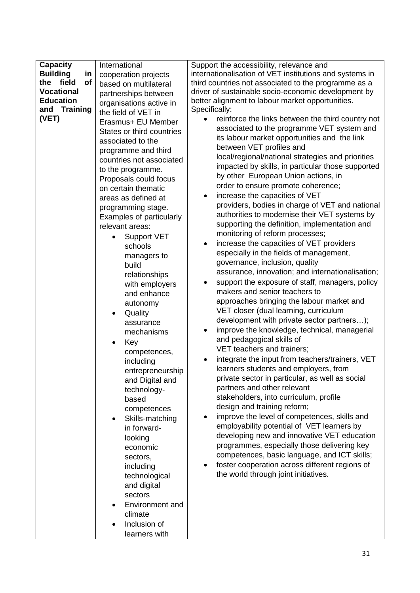| <b>Capacity</b>       | International                   | Support the accessibility, relevance and                     |
|-----------------------|---------------------------------|--------------------------------------------------------------|
| <b>Building</b><br>in | cooperation projects            | internationalisation of VET institutions and systems in      |
| field<br>of<br>the    | based on multilateral           | third countries not associated to the programme as a         |
| <b>Vocational</b>     | partnerships between            | driver of sustainable socio-economic development by          |
| <b>Education</b>      | organisations active in         | better alignment to labour market opportunities.             |
| and Training          | the field of VET in             | Specifically:                                                |
| (VET)                 | Erasmus+ EU Member              | reinforce the links between the third country not            |
|                       | States or third countries       | associated to the programme VET system and                   |
|                       | associated to the               | its labour market opportunities and the link                 |
|                       | programme and third             | between VET profiles and                                     |
|                       | countries not associated        | local/regional/national strategies and priorities            |
|                       | to the programme.               | impacted by skills, in particular those supported            |
|                       | Proposals could focus           | by other European Union actions, in                          |
|                       | on certain thematic             | order to ensure promote coherence;                           |
|                       | areas as defined at             | increase the capacities of VET<br>$\bullet$                  |
|                       | programming stage.              | providers, bodies in charge of VET and national              |
|                       | <b>Examples of particularly</b> | authorities to modernise their VET systems by                |
|                       | relevant areas:                 | supporting the definition, implementation and                |
|                       | <b>Support VET</b>              | monitoring of reform processes;                              |
|                       | schools                         | increase the capacities of VET providers<br>$\bullet$        |
|                       | managers to                     | especially in the fields of management,                      |
|                       | build                           | governance, inclusion, quality                               |
|                       | relationships                   | assurance, innovation; and internationalisation;             |
|                       | with employers                  | support the exposure of staff, managers, policy<br>$\bullet$ |
|                       | and enhance                     | makers and senior teachers to                                |
|                       | autonomy                        | approaches bringing the labour market and                    |
|                       | Quality                         | VET closer (dual learning, curriculum                        |
|                       | assurance                       | development with private sector partners);                   |
|                       | mechanisms                      | improve the knowledge, technical, managerial<br>$\bullet$    |
|                       | Key                             | and pedagogical skills of                                    |
|                       | competences,                    | VET teachers and trainers;                                   |
|                       | including                       | integrate the input from teachers/trainers, VET              |
|                       | entrepreneurship                | learners students and employers, from                        |
|                       | and Digital and                 | private sector in particular, as well as social              |
|                       | technology-                     | partners and other relevant                                  |
|                       | based                           | stakeholders, into curriculum, profile                       |
|                       | competences                     | design and training reform;                                  |
|                       | Skills-matching<br>$\bullet$    | improve the level of competences, skills and<br>$\bullet$    |
|                       | in forward-                     | employability potential of VET learners by                   |
|                       | looking                         | developing new and innovative VET education                  |
|                       | economic                        | programmes, especially those delivering key                  |
|                       | sectors,                        | competences, basic language, and ICT skills;                 |
|                       | including                       | foster cooperation across different regions of               |
|                       | technological                   | the world through joint initiatives.                         |
|                       | and digital                     |                                                              |
|                       | sectors                         |                                                              |
|                       | Environment and                 |                                                              |
|                       | climate                         |                                                              |
|                       | Inclusion of                    |                                                              |
|                       | learners with                   |                                                              |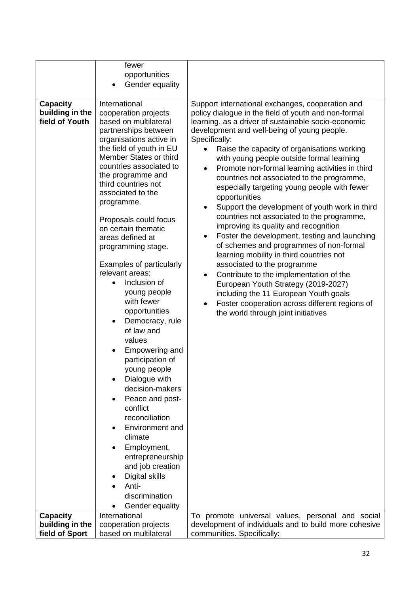|                                                                         | fewer<br>opportunities<br>Gender equality                                                                                                                                                                                                                                                                                                                                                                                                                                                                                                                                                                                                                                                                                                                                                                                                             |                                                                                                                                                                                                                                                                                                                                                                                                                                                                                                                                                                                                                                                                                                                                                                                                                                                                                                                                                                                                                                                                                                                                                        |
|-------------------------------------------------------------------------|-------------------------------------------------------------------------------------------------------------------------------------------------------------------------------------------------------------------------------------------------------------------------------------------------------------------------------------------------------------------------------------------------------------------------------------------------------------------------------------------------------------------------------------------------------------------------------------------------------------------------------------------------------------------------------------------------------------------------------------------------------------------------------------------------------------------------------------------------------|--------------------------------------------------------------------------------------------------------------------------------------------------------------------------------------------------------------------------------------------------------------------------------------------------------------------------------------------------------------------------------------------------------------------------------------------------------------------------------------------------------------------------------------------------------------------------------------------------------------------------------------------------------------------------------------------------------------------------------------------------------------------------------------------------------------------------------------------------------------------------------------------------------------------------------------------------------------------------------------------------------------------------------------------------------------------------------------------------------------------------------------------------------|
| <b>Capacity</b><br>building in the<br>field of Youth<br><b>Capacity</b> | International<br>cooperation projects<br>based on multilateral<br>partnerships between<br>organisations active in<br>the field of youth in EU<br>Member States or third<br>countries associated to<br>the programme and<br>third countries not<br>associated to the<br>programme.<br>Proposals could focus<br>on certain thematic<br>areas defined at<br>programming stage.<br>Examples of particularly<br>relevant areas:<br>Inclusion of<br>young people<br>with fewer<br>opportunities<br>Democracy, rule<br>of law and<br>values<br>Empowering and<br>participation of<br>young people<br>Dialogue with<br>decision-makers<br>Peace and post-<br>conflict<br>reconciliation<br>Environment and<br>climate<br>Employment,<br>entrepreneurship<br>and job creation<br>Digital skills<br>Anti-<br>discrimination<br>Gender equality<br>International | Support international exchanges, cooperation and<br>policy dialogue in the field of youth and non-formal<br>learning, as a driver of sustainable socio-economic<br>development and well-being of young people.<br>Specifically:<br>Raise the capacity of organisations working<br>$\bullet$<br>with young people outside formal learning<br>Promote non-formal learning activities in third<br>$\bullet$<br>countries not associated to the programme,<br>especially targeting young people with fewer<br>opportunities<br>Support the development of youth work in third<br>$\bullet$<br>countries not associated to the programme,<br>improving its quality and recognition<br>Foster the development, testing and launching<br>$\bullet$<br>of schemes and programmes of non-formal<br>learning mobility in third countries not<br>associated to the programme<br>Contribute to the implementation of the<br>$\bullet$<br>European Youth Strategy (2019-2027)<br>including the 11 European Youth goals<br>Foster cooperation across different regions of<br>the world through joint initiatives<br>To promote universal values, personal and social |
| building in the<br>field of Sport                                       | cooperation projects<br>based on multilateral                                                                                                                                                                                                                                                                                                                                                                                                                                                                                                                                                                                                                                                                                                                                                                                                         | development of individuals and to build more cohesive<br>communities. Specifically:                                                                                                                                                                                                                                                                                                                                                                                                                                                                                                                                                                                                                                                                                                                                                                                                                                                                                                                                                                                                                                                                    |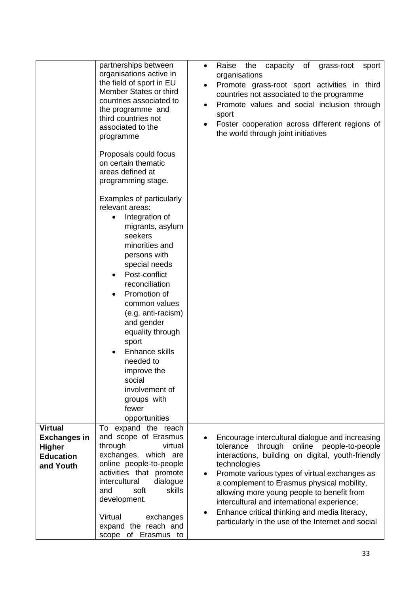|                                                                                         | partnerships between<br>organisations active in<br>the field of sport in EU<br>Member States or third<br>countries associated to<br>the programme and<br>third countries not<br>associated to the<br>programme<br>Proposals could focus                                                                                                                                                                                           | capacity of<br>Raise<br>the<br>grass-root<br>sport<br>$\bullet$<br>organisations<br>Promote grass-root sport activities in third<br>countries not associated to the programme<br>Promote values and social inclusion through<br>sport<br>Foster cooperation across different regions of<br>the world through joint initiatives                                                                                                                                                    |
|-----------------------------------------------------------------------------------------|-----------------------------------------------------------------------------------------------------------------------------------------------------------------------------------------------------------------------------------------------------------------------------------------------------------------------------------------------------------------------------------------------------------------------------------|-----------------------------------------------------------------------------------------------------------------------------------------------------------------------------------------------------------------------------------------------------------------------------------------------------------------------------------------------------------------------------------------------------------------------------------------------------------------------------------|
|                                                                                         | on certain thematic<br>areas defined at<br>programming stage.                                                                                                                                                                                                                                                                                                                                                                     |                                                                                                                                                                                                                                                                                                                                                                                                                                                                                   |
|                                                                                         | Examples of particularly<br>relevant areas:<br>Integration of<br>$\bullet$<br>migrants, asylum<br>seekers<br>minorities and<br>persons with<br>special needs<br>Post-conflict<br>reconciliation<br>Promotion of<br>$\bullet$<br>common values<br>(e.g. anti-racism)<br>and gender<br>equality through<br>sport<br>Enhance skills<br>needed to<br>improve the<br>social<br>involvement of<br>groups with<br>fewer<br>opportunities |                                                                                                                                                                                                                                                                                                                                                                                                                                                                                   |
| <b>Virtual</b><br><b>Exchanges in</b><br><b>Higher</b><br><b>Education</b><br>and Youth | expand the reach<br>To<br>and scope of Erasmus<br>through<br>virtual<br>exchanges, which are<br>online people-to-people<br>activities that promote<br>intercultural<br>dialogue<br>skills<br>soft<br>and<br>development.<br>Virtual<br>exchanges<br>expand the reach and<br>scope of Erasmus to                                                                                                                                   | Encourage intercultural dialogue and increasing<br>tolerance through online people-to-people<br>interactions, building on digital, youth-friendly<br>technologies<br>Promote various types of virtual exchanges as<br>$\bullet$<br>a complement to Erasmus physical mobility,<br>allowing more young people to benefit from<br>intercultural and international experience;<br>Enhance critical thinking and media literacy,<br>particularly in the use of the Internet and social |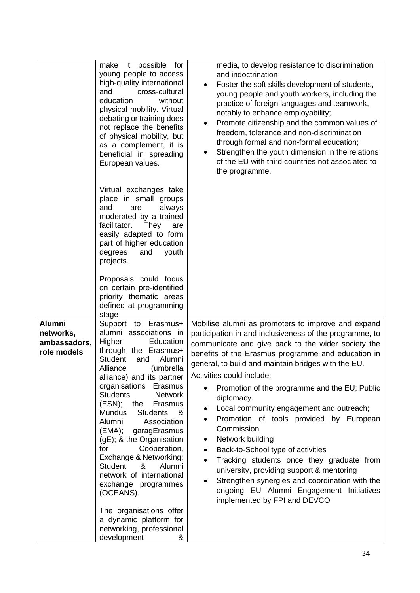|                                                           | it possible for<br>make<br>young people to access<br>high-quality international<br>cross-cultural<br>and<br>education<br>without<br>physical mobility. Virtual<br>debating or training does<br>not replace the benefits<br>of physical mobility, but<br>as a complement, it is<br>beneficial in spreading<br>European values.<br>Virtual exchanges take<br>place in small groups<br>and<br>are<br>always<br>moderated by a trained<br>facilitator.<br>They<br>are<br>easily adapted to form<br>part of higher education<br>degrees<br>youth<br>and<br>projects.<br>Proposals could focus<br>on certain pre-identified<br>priority thematic areas<br>defined at programming<br>stage | media, to develop resistance to discrimination<br>and indoctrination<br>Foster the soft skills development of students,<br>$\bullet$<br>young people and youth workers, including the<br>practice of foreign languages and teamwork,<br>notably to enhance employability;<br>Promote citizenship and the common values of<br>٠<br>freedom, tolerance and non-discrimination<br>through formal and non-formal education;<br>Strengthen the youth dimension in the relations<br>of the EU with third countries not associated to<br>the programme.                                                                                                                                                                                                                                                                                 |
|-----------------------------------------------------------|-------------------------------------------------------------------------------------------------------------------------------------------------------------------------------------------------------------------------------------------------------------------------------------------------------------------------------------------------------------------------------------------------------------------------------------------------------------------------------------------------------------------------------------------------------------------------------------------------------------------------------------------------------------------------------------|----------------------------------------------------------------------------------------------------------------------------------------------------------------------------------------------------------------------------------------------------------------------------------------------------------------------------------------------------------------------------------------------------------------------------------------------------------------------------------------------------------------------------------------------------------------------------------------------------------------------------------------------------------------------------------------------------------------------------------------------------------------------------------------------------------------------------------|
| <b>Alumni</b><br>networks,<br>ambassadors.<br>role models | Support to Erasmus+<br>alumni associations in<br>Higher<br>Education<br>through the Erasmus+<br><b>Student</b><br>Alumni<br>and<br>Alliance<br>(umbrella<br>alliance) and its partner<br>organisations Erasmus<br><b>Students</b><br><b>Network</b><br>$(ESN);$ the<br>Erasmus<br><b>Mundus</b><br><b>Students</b><br>&<br>Alumni<br>Association<br>(EMA);<br>garagErasmus<br>(gE); & the Organisation<br>Cooperation,<br>for<br>Exchange & Networking:<br>&<br>Student<br>Alumni<br>network of international<br>exchange programmes<br>(OCEANS).<br>The organisations offer<br>a dynamic platform for<br>networking, professional<br>development<br>&                              | Mobilise alumni as promoters to improve and expand<br>participation in and inclusiveness of the programme, to<br>communicate and give back to the wider society the<br>benefits of the Erasmus programme and education in<br>general, to build and maintain bridges with the EU.<br>Activities could include:<br>Promotion of the programme and the EU; Public<br>diplomacy.<br>Local community engagement and outreach;<br>٠<br>Promotion of tools provided by European<br>٠<br>Commission<br>Network building<br>$\bullet$<br>Back-to-School type of activities<br>$\bullet$<br>Tracking students once they graduate from<br>$\bullet$<br>university, providing support & mentoring<br>Strengthen synergies and coordination with the<br>$\bullet$<br>ongoing EU Alumni Engagement Initiatives<br>implemented by FPI and DEVCO |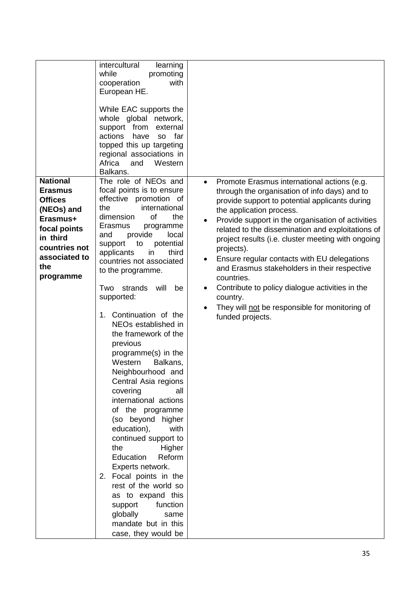|                                                                                                                                                                 | intercultural<br>learning<br>while<br>promoting<br>cooperation<br>with<br>European HE.<br>While EAC supports the<br>whole global network,<br>support from<br>external<br>actions<br>have<br>so far<br>topped this up targeting<br>regional associations in<br>Africa<br>Western<br>and<br>Balkans.                                                                                                                                                                                                                                                                                                                                                                                                                                                                                                                                                                                         |                                                                                                                                                                                                                                                                                                                                                                                                                                                                                                                                                                                                                                                                |
|-----------------------------------------------------------------------------------------------------------------------------------------------------------------|--------------------------------------------------------------------------------------------------------------------------------------------------------------------------------------------------------------------------------------------------------------------------------------------------------------------------------------------------------------------------------------------------------------------------------------------------------------------------------------------------------------------------------------------------------------------------------------------------------------------------------------------------------------------------------------------------------------------------------------------------------------------------------------------------------------------------------------------------------------------------------------------|----------------------------------------------------------------------------------------------------------------------------------------------------------------------------------------------------------------------------------------------------------------------------------------------------------------------------------------------------------------------------------------------------------------------------------------------------------------------------------------------------------------------------------------------------------------------------------------------------------------------------------------------------------------|
| <b>National</b><br><b>Erasmus</b><br><b>Offices</b><br>(NEOs) and<br>Erasmus+<br>focal points<br>in third<br>countries not<br>associated to<br>the<br>programme | The role of NEOs and<br>focal points is to ensure<br>effective promotion of<br>international<br>the<br>of<br>dimension<br>the<br>Erasmus<br>programme<br>provide<br>and<br>local<br>potential<br>support<br>to<br>third<br>applicants<br>in<br>countries not associated<br>to the programme.<br>strands<br>will<br>Two<br>be<br>supported:<br>1. Continuation of the<br>NEOs established in<br>the framework of the<br>previous<br>programme(s) in the<br>Western<br>Balkans,<br>Neighbourhood and<br>Central Asia regions<br>covering<br>all<br>international actions<br>of the programme<br>(so beyond higher<br>education),<br>with<br>continued support to<br>the<br>Higher<br>Education<br>Reform<br>Experts network.<br>2. Focal points in the<br>rest of the world so<br>as to expand this<br>function<br>support<br>globally<br>same<br>mandate but in this<br>case, they would be | Promote Erasmus international actions (e.g.<br>$\bullet$<br>through the organisation of info days) and to<br>provide support to potential applicants during<br>the application process.<br>Provide support in the organisation of activities<br>$\bullet$<br>related to the dissemination and exploitations of<br>project results (i.e. cluster meeting with ongoing<br>projects).<br>Ensure regular contacts with EU delegations<br>and Erasmus stakeholders in their respective<br>countries.<br>Contribute to policy dialogue activities in the<br>$\bullet$<br>country.<br>They will not be responsible for monitoring of<br>$\bullet$<br>funded projects. |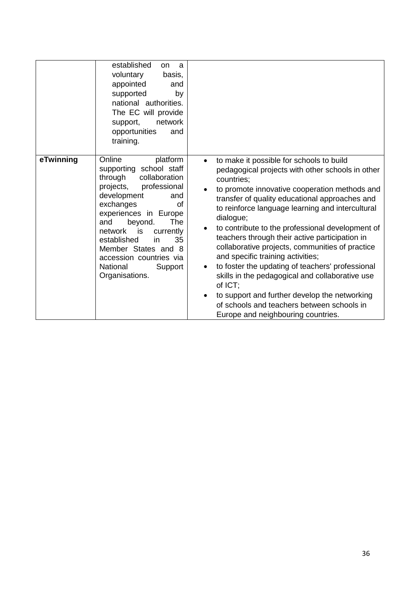|           | established<br>on<br>a<br>voluntary<br>basis,<br>appointed<br>and<br>supported<br>by<br>national authorities.<br>The EC will provide<br>network<br>support,<br>opportunities<br>and<br>training.                                                                                                                                                                |                                                                                                                                                                                                                                                                                                                                                                                                                                                                                                                                                                                                                                                                                                                                                                                                      |
|-----------|-----------------------------------------------------------------------------------------------------------------------------------------------------------------------------------------------------------------------------------------------------------------------------------------------------------------------------------------------------------------|------------------------------------------------------------------------------------------------------------------------------------------------------------------------------------------------------------------------------------------------------------------------------------------------------------------------------------------------------------------------------------------------------------------------------------------------------------------------------------------------------------------------------------------------------------------------------------------------------------------------------------------------------------------------------------------------------------------------------------------------------------------------------------------------------|
| eTwinning | Online<br>platform<br>supporting school staff<br>through<br>collaboration<br>projects,<br>professional<br>development<br>and<br>exchanges<br>οf<br>experiences in Europe<br>beyond.<br><b>The</b><br>and<br>is is<br>network<br>currently<br>35<br>established<br>in<br>Member States and 8<br>accession countries via<br>National<br>Support<br>Organisations. | to make it possible for schools to build<br>$\bullet$<br>pedagogical projects with other schools in other<br>countries;<br>to promote innovative cooperation methods and<br>$\bullet$<br>transfer of quality educational approaches and<br>to reinforce language learning and intercultural<br>dialogue;<br>to contribute to the professional development of<br>$\bullet$<br>teachers through their active participation in<br>collaborative projects, communities of practice<br>and specific training activities;<br>to foster the updating of teachers' professional<br>$\bullet$<br>skills in the pedagogical and collaborative use<br>of ICT;<br>to support and further develop the networking<br>$\bullet$<br>of schools and teachers between schools in<br>Europe and neighbouring countries. |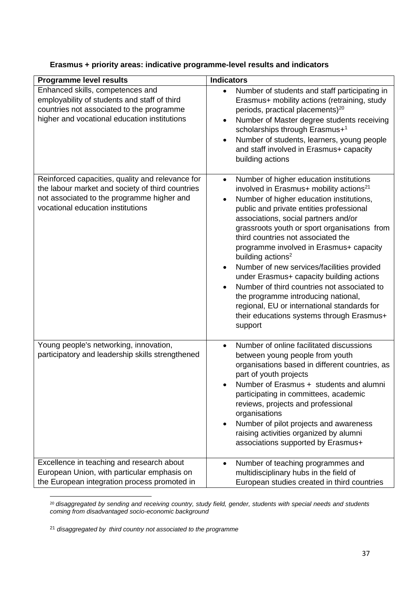| <b>Programme level results</b>                                                                                                                                                          | <b>Indicators</b>                                                                                                                                                                                                                                                                                                                                                                                                                                                                                                                                                                                                                                                                                    |
|-----------------------------------------------------------------------------------------------------------------------------------------------------------------------------------------|------------------------------------------------------------------------------------------------------------------------------------------------------------------------------------------------------------------------------------------------------------------------------------------------------------------------------------------------------------------------------------------------------------------------------------------------------------------------------------------------------------------------------------------------------------------------------------------------------------------------------------------------------------------------------------------------------|
| Enhanced skills, competences and<br>employability of students and staff of third<br>countries not associated to the programme<br>higher and vocational education institutions           | Number of students and staff participating in<br>$\bullet$<br>Erasmus+ mobility actions (retraining, study<br>periods, practical placements) <sup>20</sup><br>Number of Master degree students receiving<br>$\bullet$<br>scholarships through Erasmus+1<br>Number of students, learners, young people<br>and staff involved in Erasmus+ capacity<br>building actions                                                                                                                                                                                                                                                                                                                                 |
| Reinforced capacities, quality and relevance for<br>the labour market and society of third countries<br>not associated to the programme higher and<br>vocational education institutions | Number of higher education institutions<br>$\bullet$<br>involved in Erasmus+ mobility actions <sup>21</sup><br>Number of higher education institutions,<br>public and private entities professional<br>associations, social partners and/or<br>grassroots youth or sport organisations from<br>third countries not associated the<br>programme involved in Erasmus+ capacity<br>building actions <sup>2</sup><br>Number of new services/facilities provided<br>under Erasmus+ capacity building actions<br>Number of third countries not associated to<br>the programme introducing national,<br>regional, EU or international standards for<br>their educations systems through Erasmus+<br>support |
| Young people's networking, innovation,<br>participatory and leadership skills strengthened                                                                                              | Number of online facilitated discussions<br>$\bullet$<br>between young people from youth<br>organisations based in different countries, as<br>part of youth projects<br>Number of Erasmus + students and alumni<br>participating in committees, academic<br>reviews, projects and professional<br>organisations<br>Number of pilot projects and awareness<br>raising activities organized by alumni<br>associations supported by Erasmus+                                                                                                                                                                                                                                                            |
| Excellence in teaching and research about<br>European Union, with particular emphasis on<br>the European integration process promoted in                                                | Number of teaching programmes and<br>multidisciplinary hubs in the field of<br>European studies created in third countries                                                                                                                                                                                                                                                                                                                                                                                                                                                                                                                                                                           |

# **Erasmus + priority areas: indicative programme-level results and indicators**

1 <sup>20</sup> *disaggregated by sending and receiving country, study field, gender, students with special needs and students coming from disadvantaged socio-economic background*

<sup>21</sup> *disaggregated by third country not associated to the programme*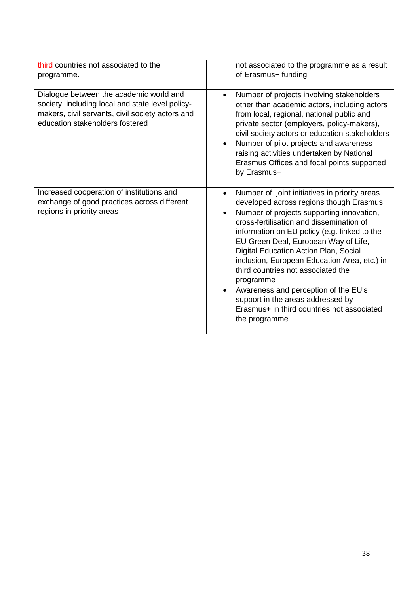| third countries not associated to the<br>programme.                                                                                                                                | not associated to the programme as a result<br>of Erasmus+ funding                                                                                                                                                                                                                                                                                                                                                                                                                                                                                                             |
|------------------------------------------------------------------------------------------------------------------------------------------------------------------------------------|--------------------------------------------------------------------------------------------------------------------------------------------------------------------------------------------------------------------------------------------------------------------------------------------------------------------------------------------------------------------------------------------------------------------------------------------------------------------------------------------------------------------------------------------------------------------------------|
| Dialogue between the academic world and<br>society, including local and state level policy-<br>makers, civil servants, civil society actors and<br>education stakeholders fostered | Number of projects involving stakeholders<br>other than academic actors, including actors<br>from local, regional, national public and<br>private sector (employers, policy-makers),<br>civil society actors or education stakeholders<br>Number of pilot projects and awareness<br>$\bullet$<br>raising activities undertaken by National<br>Erasmus Offices and focal points supported<br>by Erasmus+                                                                                                                                                                        |
| Increased cooperation of institutions and<br>exchange of good practices across different<br>regions in priority areas                                                              | Number of joint initiatives in priority areas<br>$\bullet$<br>developed across regions though Erasmus<br>Number of projects supporting innovation,<br>cross-fertilisation and dissemination of<br>information on EU policy (e.g. linked to the<br>EU Green Deal, European Way of Life,<br>Digital Education Action Plan, Social<br>inclusion, European Education Area, etc.) in<br>third countries not associated the<br>programme<br>Awareness and perception of the EU's<br>support in the areas addressed by<br>Erasmus+ in third countries not associated<br>the programme |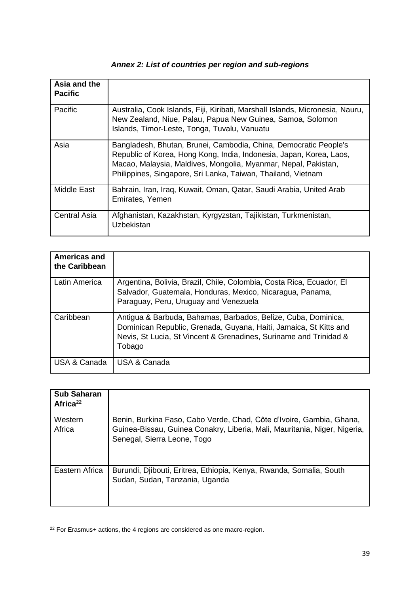| Asia and the<br><b>Pacific</b> |                                                                                                                                                                                                                                                                           |
|--------------------------------|---------------------------------------------------------------------------------------------------------------------------------------------------------------------------------------------------------------------------------------------------------------------------|
| Pacific                        | Australia, Cook Islands, Fiji, Kiribati, Marshall Islands, Micronesia, Nauru,<br>New Zealand, Niue, Palau, Papua New Guinea, Samoa, Solomon<br>Islands, Timor-Leste, Tonga, Tuvalu, Vanuatu                                                                               |
| Asia                           | Bangladesh, Bhutan, Brunei, Cambodia, China, Democratic People's<br>Republic of Korea, Hong Kong, India, Indonesia, Japan, Korea, Laos,<br>Macao, Malaysia, Maldives, Mongolia, Myanmar, Nepal, Pakistan,<br>Philippines, Singapore, Sri Lanka, Taiwan, Thailand, Vietnam |
| <b>Middle East</b>             | Bahrain, Iran, Iraq, Kuwait, Oman, Qatar, Saudi Arabia, United Arab<br>Emirates, Yemen                                                                                                                                                                                    |
| <b>Central Asia</b>            | Afghanistan, Kazakhstan, Kyrgyzstan, Tajikistan, Turkmenistan,<br>Uzbekistan                                                                                                                                                                                              |

# *Annex 2: List of countries per region and sub-regions*

| Americas and<br>the Caribbean |                                                                                                                                                                                                                   |
|-------------------------------|-------------------------------------------------------------------------------------------------------------------------------------------------------------------------------------------------------------------|
| Latin America                 | Argentina, Bolivia, Brazil, Chile, Colombia, Costa Rica, Ecuador, El<br>Salvador, Guatemala, Honduras, Mexico, Nicaragua, Panama,<br>Paraguay, Peru, Uruguay and Venezuela                                        |
| Caribbean                     | Antigua & Barbuda, Bahamas, Barbados, Belize, Cuba, Dominica,<br>Dominican Republic, Grenada, Guyana, Haiti, Jamaica, St Kitts and<br>Nevis, St Lucia, St Vincent & Grenadines, Suriname and Trinidad &<br>Tobago |
| USA & Canada                  | USA & Canada                                                                                                                                                                                                      |

| <b>Sub Saharan</b><br>Africa <sup>22</sup> |                                                                                                                                                                                  |
|--------------------------------------------|----------------------------------------------------------------------------------------------------------------------------------------------------------------------------------|
| Western<br>Africa                          | Benin, Burkina Faso, Cabo Verde, Chad, Côte d'Ivoire, Gambia, Ghana,<br>Guinea-Bissau, Guinea Conakry, Liberia, Mali, Mauritania, Niger, Nigeria,<br>Senegal, Sierra Leone, Togo |
| Eastern Africa                             | Burundi, Djibouti, Eritrea, Ethiopia, Kenya, Rwanda, Somalia, South<br>Sudan, Sudan, Tanzania, Uganda                                                                            |

**<sup>.</sup>**  $22$  For Erasmus+ actions, the 4 regions are considered as one macro-region.